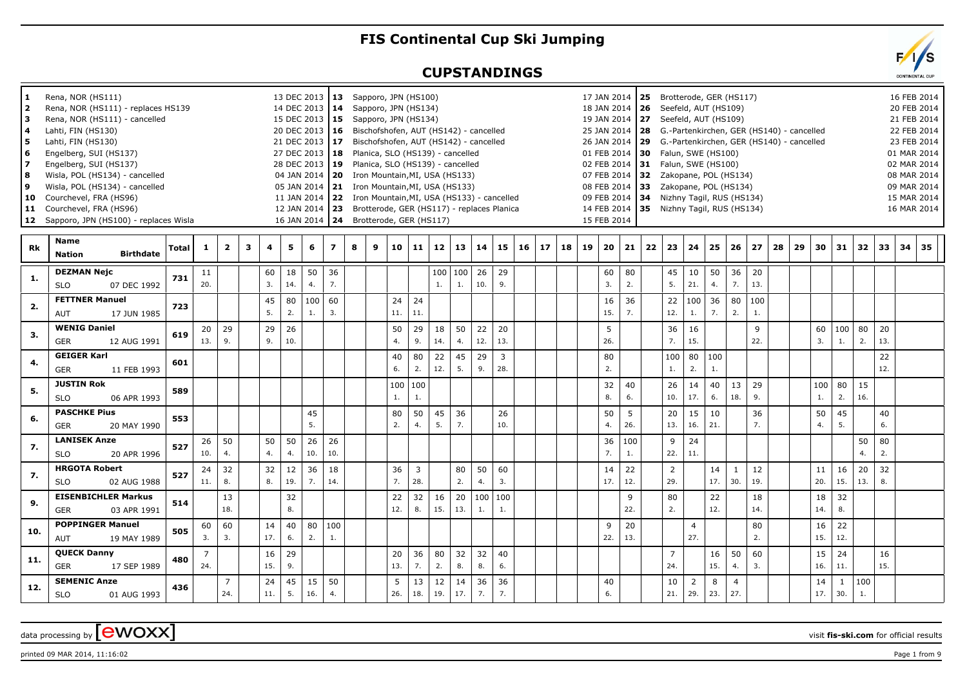## **FIS Continental Cup Ski Jumping**

## **CUPSTANDINGS**

| Rena, NOR (HS111) - replaces HS139<br>Rena, NOR (HS111) - cancelled |                                                                                                                                                                                                                                                                                                                                                                                                                                                                                                                                                                                                                                                  |                                                                                                                   |                                                                                                    |                                                          |     |                                                            |                                                                               |                                                                 |                                                | 14 DEC 2013   14 Sapporo, JPN (HS134)                   |     |                                                                  |                                                                                              |                                                                                                 |                                                          |                                                                                                                                                                                                                                                                                                         |                                                                                                                              |                                                                                                                        |    |    | 18 JAN 2014   26 Seefeld, AUT (HS109) |                                                                             |                                                                                                                           |                |                                                                                                                |                                                                                                                  |                                                                                                     |                                                                                                                                                       |                                                                                                                                                                                                                                                      |                                                            |     |                                                                                                                                                         |                                                             |                                                                            | 20 FEB 2014                                    |                                                                                                                  |
|---------------------------------------------------------------------|--------------------------------------------------------------------------------------------------------------------------------------------------------------------------------------------------------------------------------------------------------------------------------------------------------------------------------------------------------------------------------------------------------------------------------------------------------------------------------------------------------------------------------------------------------------------------------------------------------------------------------------------------|-------------------------------------------------------------------------------------------------------------------|----------------------------------------------------------------------------------------------------|----------------------------------------------------------|-----|------------------------------------------------------------|-------------------------------------------------------------------------------|-----------------------------------------------------------------|------------------------------------------------|---------------------------------------------------------|-----|------------------------------------------------------------------|----------------------------------------------------------------------------------------------|-------------------------------------------------------------------------------------------------|----------------------------------------------------------|---------------------------------------------------------------------------------------------------------------------------------------------------------------------------------------------------------------------------------------------------------------------------------------------------------|------------------------------------------------------------------------------------------------------------------------------|------------------------------------------------------------------------------------------------------------------------|----|----|---------------------------------------|-----------------------------------------------------------------------------|---------------------------------------------------------------------------------------------------------------------------|----------------|----------------------------------------------------------------------------------------------------------------|------------------------------------------------------------------------------------------------------------------|-----------------------------------------------------------------------------------------------------|-------------------------------------------------------------------------------------------------------------------------------------------------------|------------------------------------------------------------------------------------------------------------------------------------------------------------------------------------------------------------------------------------------------------|------------------------------------------------------------|-----|---------------------------------------------------------------------------------------------------------------------------------------------------------|-------------------------------------------------------------|----------------------------------------------------------------------------|------------------------------------------------|------------------------------------------------------------------------------------------------------------------|
|                                                                     |                                                                                                                                                                                                                                                                                                                                                                                                                                                                                                                                                                                                                                                  |                                                                                                                   |                                                                                                    |                                                          |     |                                                            |                                                                               |                                                                 |                                                |                                                         |     |                                                                  |                                                                                              |                                                                                                 |                                                          |                                                                                                                                                                                                                                                                                                         |                                                                                                                              |                                                                                                                        |    |    |                                       |                                                                             |                                                                                                                           |                |                                                                                                                |                                                                                                                  |                                                                                                     |                                                                                                                                                       |                                                                                                                                                                                                                                                      |                                                            |     |                                                                                                                                                         |                                                             |                                                                            |                                                |                                                                                                                  |
|                                                                     |                                                                                                                                                                                                                                                                                                                                                                                                                                                                                                                                                                                                                                                  |                                                                                                                   |                                                                                                    |                                                          |     |                                                            |                                                                               |                                                                 |                                                | 15 DEC 2013   15 Sapporo, JPN (HS134)                   |     |                                                                  |                                                                                              |                                                                                                 |                                                          |                                                                                                                                                                                                                                                                                                         |                                                                                                                              |                                                                                                                        |    |    | 19 JAN 2014   27 Seefeld, AUT (HS109) |                                                                             |                                                                                                                           |                |                                                                                                                |                                                                                                                  |                                                                                                     |                                                                                                                                                       |                                                                                                                                                                                                                                                      |                                                            |     |                                                                                                                                                         |                                                             |                                                                            | 21 FEB 2014                                    |                                                                                                                  |
| Lahti, FIN (HS130)                                                  |                                                                                                                                                                                                                                                                                                                                                                                                                                                                                                                                                                                                                                                  |                                                                                                                   |                                                                                                    |                                                          |     |                                                            |                                                                               |                                                                 |                                                | 20 DEC 2013   16 Bischofshofen, AUT (HS142) - cancelled |     |                                                                  |                                                                                              |                                                                                                 |                                                          |                                                                                                                                                                                                                                                                                                         |                                                                                                                              |                                                                                                                        |    |    |                                       |                                                                             |                                                                                                                           |                |                                                                                                                |                                                                                                                  |                                                                                                     |                                                                                                                                                       |                                                                                                                                                                                                                                                      | 25 JAN 2014   28 G.-Partenkirchen, GER (HS140) - cancelled |     |                                                                                                                                                         |                                                             |                                                                            | 22 FEB 2014                                    |                                                                                                                  |
|                                                                     |                                                                                                                                                                                                                                                                                                                                                                                                                                                                                                                                                                                                                                                  |                                                                                                                   |                                                                                                    |                                                          |     |                                                            |                                                                               |                                                                 |                                                |                                                         |     |                                                                  |                                                                                              |                                                                                                 |                                                          |                                                                                                                                                                                                                                                                                                         |                                                                                                                              |                                                                                                                        |    |    |                                       |                                                                             |                                                                                                                           |                |                                                                                                                |                                                                                                                  |                                                                                                     |                                                                                                                                                       |                                                                                                                                                                                                                                                      |                                                            |     |                                                                                                                                                         |                                                             |                                                                            |                                                |                                                                                                                  |
|                                                                     |                                                                                                                                                                                                                                                                                                                                                                                                                                                                                                                                                                                                                                                  |                                                                                                                   |                                                                                                    |                                                          |     |                                                            |                                                                               |                                                                 |                                                |                                                         |     |                                                                  |                                                                                              |                                                                                                 |                                                          |                                                                                                                                                                                                                                                                                                         |                                                                                                                              |                                                                                                                        |    |    |                                       |                                                                             |                                                                                                                           |                |                                                                                                                |                                                                                                                  |                                                                                                     |                                                                                                                                                       |                                                                                                                                                                                                                                                      |                                                            |     |                                                                                                                                                         |                                                             |                                                                            |                                                |                                                                                                                  |
|                                                                     |                                                                                                                                                                                                                                                                                                                                                                                                                                                                                                                                                                                                                                                  |                                                                                                                   |                                                                                                    |                                                          |     |                                                            |                                                                               |                                                                 |                                                |                                                         |     |                                                                  |                                                                                              |                                                                                                 |                                                          |                                                                                                                                                                                                                                                                                                         |                                                                                                                              |                                                                                                                        |    |    |                                       |                                                                             |                                                                                                                           |                |                                                                                                                |                                                                                                                  |                                                                                                     |                                                                                                                                                       |                                                                                                                                                                                                                                                      |                                                            |     |                                                                                                                                                         |                                                             |                                                                            |                                                |                                                                                                                  |
|                                                                     |                                                                                                                                                                                                                                                                                                                                                                                                                                                                                                                                                                                                                                                  |                                                                                                                   |                                                                                                    |                                                          |     |                                                            |                                                                               |                                                                 |                                                |                                                         |     |                                                                  |                                                                                              |                                                                                                 |                                                          |                                                                                                                                                                                                                                                                                                         |                                                                                                                              |                                                                                                                        |    |    |                                       |                                                                             |                                                                                                                           |                |                                                                                                                |                                                                                                                  |                                                                                                     |                                                                                                                                                       |                                                                                                                                                                                                                                                      |                                                            |     |                                                                                                                                                         |                                                             |                                                                            |                                                |                                                                                                                  |
|                                                                     |                                                                                                                                                                                                                                                                                                                                                                                                                                                                                                                                                                                                                                                  |                                                                                                                   |                                                                                                    |                                                          |     |                                                            |                                                                               |                                                                 |                                                |                                                         |     |                                                                  |                                                                                              |                                                                                                 |                                                          |                                                                                                                                                                                                                                                                                                         |                                                                                                                              |                                                                                                                        |    |    |                                       |                                                                             |                                                                                                                           |                |                                                                                                                |                                                                                                                  |                                                                                                     |                                                                                                                                                       |                                                                                                                                                                                                                                                      |                                                            |     |                                                                                                                                                         |                                                             |                                                                            |                                                |                                                                                                                  |
|                                                                     |                                                                                                                                                                                                                                                                                                                                                                                                                                                                                                                                                                                                                                                  |                                                                                                                   |                                                                                                    |                                                          |     |                                                            |                                                                               |                                                                 |                                                |                                                         |     |                                                                  |                                                                                              |                                                                                                 |                                                          |                                                                                                                                                                                                                                                                                                         |                                                                                                                              |                                                                                                                        |    |    |                                       |                                                                             |                                                                                                                           |                |                                                                                                                |                                                                                                                  |                                                                                                     |                                                                                                                                                       |                                                                                                                                                                                                                                                      |                                                            |     |                                                                                                                                                         |                                                             |                                                                            |                                                |                                                                                                                  |
|                                                                     |                                                                                                                                                                                                                                                                                                                                                                                                                                                                                                                                                                                                                                                  |                                                                                                                   |                                                                                                    |                                                          |     |                                                            |                                                                               |                                                                 |                                                |                                                         |     |                                                                  |                                                                                              |                                                                                                 |                                                          |                                                                                                                                                                                                                                                                                                         |                                                                                                                              |                                                                                                                        |    |    |                                       |                                                                             |                                                                                                                           |                |                                                                                                                |                                                                                                                  |                                                                                                     |                                                                                                                                                       |                                                                                                                                                                                                                                                      |                                                            |     |                                                                                                                                                         |                                                             |                                                                            |                                                |                                                                                                                  |
|                                                                     |                                                                                                                                                                                                                                                                                                                                                                                                                                                                                                                                                                                                                                                  |                                                                                                                   |                                                                                                    |                                                          |     |                                                            |                                                                               |                                                                 |                                                |                                                         |     |                                                                  |                                                                                              |                                                                                                 |                                                          |                                                                                                                                                                                                                                                                                                         |                                                                                                                              |                                                                                                                        |    |    |                                       |                                                                             |                                                                                                                           |                |                                                                                                                |                                                                                                                  |                                                                                                     |                                                                                                                                                       |                                                                                                                                                                                                                                                      |                                                            |     |                                                                                                                                                         |                                                             |                                                                            |                                                |                                                                                                                  |
|                                                                     |                                                                                                                                                                                                                                                                                                                                                                                                                                                                                                                                                                                                                                                  |                                                                                                                   |                                                                                                    |                                                          |     |                                                            |                                                                               |                                                                 |                                                |                                                         |     |                                                                  |                                                                                              |                                                                                                 |                                                          |                                                                                                                                                                                                                                                                                                         |                                                                                                                              |                                                                                                                        |    |    |                                       |                                                                             |                                                                                                                           |                |                                                                                                                |                                                                                                                  |                                                                                                     |                                                                                                                                                       |                                                                                                                                                                                                                                                      |                                                            |     |                                                                                                                                                         |                                                             |                                                                            |                                                |                                                                                                                  |
|                                                                     |                                                                                                                                                                                                                                                                                                                                                                                                                                                                                                                                                                                                                                                  |                                                                                                                   |                                                                                                    |                                                          |     |                                                            |                                                                               |                                                                 |                                                |                                                         |     |                                                                  |                                                                                              |                                                                                                 |                                                          |                                                                                                                                                                                                                                                                                                         |                                                                                                                              |                                                                                                                        |    |    |                                       |                                                                             |                                                                                                                           |                |                                                                                                                |                                                                                                                  |                                                                                                     |                                                                                                                                                       |                                                                                                                                                                                                                                                      |                                                            |     |                                                                                                                                                         |                                                             |                                                                            |                                                |                                                                                                                  |
|                                                                     | Total                                                                                                                                                                                                                                                                                                                                                                                                                                                                                                                                                                                                                                            | 1                                                                                                                 | $\overline{\mathbf{2}}$                                                                            | 3                                                        | 4   | 5                                                          | 6                                                                             | $\overline{ }$                                                  | 8                                              | 9                                                       |     |                                                                  |                                                                                              |                                                                                                 |                                                          | 15                                                                                                                                                                                                                                                                                                      | 16                                                                                                                           |                                                                                                                        | 18 |    |                                       |                                                                             |                                                                                                                           |                |                                                                                                                | 25                                                                                                               | 26                                                                                                  | 27                                                                                                                                                    | 28                                                                                                                                                                                                                                                   | 29                                                         |     |                                                                                                                                                         |                                                             | 33                                                                         | 34 35                                          |                                                                                                                  |
|                                                                     |                                                                                                                                                                                                                                                                                                                                                                                                                                                                                                                                                                                                                                                  |                                                                                                                   |                                                                                                    |                                                          |     |                                                            |                                                                               |                                                                 |                                                |                                                         |     |                                                                  |                                                                                              |                                                                                                 |                                                          |                                                                                                                                                                                                                                                                                                         |                                                                                                                              |                                                                                                                        |    |    |                                       |                                                                             |                                                                                                                           |                |                                                                                                                |                                                                                                                  |                                                                                                     |                                                                                                                                                       |                                                                                                                                                                                                                                                      |                                                            |     |                                                                                                                                                         |                                                             |                                                                            |                                                |                                                                                                                  |
|                                                                     |                                                                                                                                                                                                                                                                                                                                                                                                                                                                                                                                                                                                                                                  |                                                                                                                   |                                                                                                    |                                                          |     |                                                            |                                                                               |                                                                 |                                                |                                                         |     |                                                                  |                                                                                              |                                                                                                 |                                                          |                                                                                                                                                                                                                                                                                                         |                                                                                                                              |                                                                                                                        |    |    |                                       |                                                                             |                                                                                                                           |                |                                                                                                                |                                                                                                                  |                                                                                                     |                                                                                                                                                       |                                                                                                                                                                                                                                                      |                                                            |     |                                                                                                                                                         |                                                             |                                                                            |                                                |                                                                                                                  |
|                                                                     | 731                                                                                                                                                                                                                                                                                                                                                                                                                                                                                                                                                                                                                                              |                                                                                                                   |                                                                                                    |                                                          |     |                                                            |                                                                               |                                                                 |                                                |                                                         |     |                                                                  |                                                                                              |                                                                                                 |                                                          |                                                                                                                                                                                                                                                                                                         |                                                                                                                              |                                                                                                                        |    |    |                                       |                                                                             |                                                                                                                           |                |                                                                                                                |                                                                                                                  |                                                                                                     |                                                                                                                                                       |                                                                                                                                                                                                                                                      |                                                            |     |                                                                                                                                                         |                                                             |                                                                            |                                                |                                                                                                                  |
|                                                                     |                                                                                                                                                                                                                                                                                                                                                                                                                                                                                                                                                                                                                                                  |                                                                                                                   |                                                                                                    |                                                          |     |                                                            |                                                                               |                                                                 |                                                |                                                         |     |                                                                  |                                                                                              |                                                                                                 |                                                          |                                                                                                                                                                                                                                                                                                         |                                                                                                                              |                                                                                                                        |    |    |                                       |                                                                             |                                                                                                                           |                |                                                                                                                |                                                                                                                  |                                                                                                     |                                                                                                                                                       |                                                                                                                                                                                                                                                      |                                                            |     |                                                                                                                                                         |                                                             |                                                                            |                                                |                                                                                                                  |
| <b>FETTNER Manuel</b>                                               |                                                                                                                                                                                                                                                                                                                                                                                                                                                                                                                                                                                                                                                  |                                                                                                                   |                                                                                                    |                                                          | 45  | 80                                                         | 100                                                                           | 60                                                              |                                                |                                                         | 24  |                                                                  |                                                                                              |                                                                                                 |                                                          |                                                                                                                                                                                                                                                                                                         |                                                                                                                              |                                                                                                                        |    |    | 16                                    | 36                                                                          |                                                                                                                           | 22             |                                                                                                                |                                                                                                                  | 80                                                                                                  | 100                                                                                                                                                   |                                                                                                                                                                                                                                                      |                                                            |     |                                                                                                                                                         |                                                             |                                                                            |                                                |                                                                                                                  |
| <b>AUT</b><br>17 JUN 1985                                           |                                                                                                                                                                                                                                                                                                                                                                                                                                                                                                                                                                                                                                                  |                                                                                                                   |                                                                                                    |                                                          | 5.  | 2.                                                         | 1.                                                                            | 3.                                                              |                                                |                                                         | 11. |                                                                  |                                                                                              |                                                                                                 |                                                          |                                                                                                                                                                                                                                                                                                         |                                                                                                                              |                                                                                                                        |    |    | 15.                                   | 7.                                                                          |                                                                                                                           | 12.            | 1.                                                                                                             | 7.                                                                                                               | 2.                                                                                                  | 1.                                                                                                                                                    |                                                                                                                                                                                                                                                      |                                                            |     |                                                                                                                                                         |                                                             |                                                                            |                                                |                                                                                                                  |
|                                                                     |                                                                                                                                                                                                                                                                                                                                                                                                                                                                                                                                                                                                                                                  |                                                                                                                   |                                                                                                    |                                                          |     |                                                            |                                                                               |                                                                 |                                                |                                                         |     |                                                                  |                                                                                              |                                                                                                 |                                                          |                                                                                                                                                                                                                                                                                                         |                                                                                                                              |                                                                                                                        |    |    |                                       |                                                                             |                                                                                                                           |                |                                                                                                                |                                                                                                                  |                                                                                                     |                                                                                                                                                       |                                                                                                                                                                                                                                                      |                                                            |     |                                                                                                                                                         |                                                             |                                                                            |                                                |                                                                                                                  |
|                                                                     | 619                                                                                                                                                                                                                                                                                                                                                                                                                                                                                                                                                                                                                                              |                                                                                                                   |                                                                                                    |                                                          |     |                                                            |                                                                               |                                                                 |                                                |                                                         |     |                                                                  |                                                                                              |                                                                                                 |                                                          |                                                                                                                                                                                                                                                                                                         |                                                                                                                              |                                                                                                                        |    |    |                                       |                                                                             |                                                                                                                           |                |                                                                                                                |                                                                                                                  |                                                                                                     |                                                                                                                                                       |                                                                                                                                                                                                                                                      |                                                            |     |                                                                                                                                                         |                                                             |                                                                            |                                                |                                                                                                                  |
|                                                                     |                                                                                                                                                                                                                                                                                                                                                                                                                                                                                                                                                                                                                                                  |                                                                                                                   |                                                                                                    |                                                          |     |                                                            |                                                                               |                                                                 |                                                |                                                         |     |                                                                  |                                                                                              |                                                                                                 |                                                          |                                                                                                                                                                                                                                                                                                         |                                                                                                                              |                                                                                                                        |    |    |                                       |                                                                             |                                                                                                                           |                |                                                                                                                |                                                                                                                  |                                                                                                     |                                                                                                                                                       |                                                                                                                                                                                                                                                      |                                                            |     |                                                                                                                                                         |                                                             |                                                                            |                                                |                                                                                                                  |
| <b>GEIGER Karl</b>                                                  |                                                                                                                                                                                                                                                                                                                                                                                                                                                                                                                                                                                                                                                  |                                                                                                                   |                                                                                                    |                                                          |     |                                                            |                                                                               |                                                                 |                                                |                                                         | 40  | 80                                                               |                                                                                              | 45                                                                                              | 29                                                       | 3                                                                                                                                                                                                                                                                                                       |                                                                                                                              |                                                                                                                        |    |    | 80                                    |                                                                             |                                                                                                                           |                |                                                                                                                |                                                                                                                  |                                                                                                     |                                                                                                                                                       |                                                                                                                                                                                                                                                      |                                                            |     |                                                                                                                                                         |                                                             | 22                                                                         |                                                |                                                                                                                  |
|                                                                     |                                                                                                                                                                                                                                                                                                                                                                                                                                                                                                                                                                                                                                                  |                                                                                                                   |                                                                                                    |                                                          |     |                                                            |                                                                               |                                                                 |                                                |                                                         | 6.  | 2.                                                               | 12.                                                                                          | 5.                                                                                              | 9.                                                       |                                                                                                                                                                                                                                                                                                         |                                                                                                                              |                                                                                                                        |    |    | 2.                                    |                                                                             |                                                                                                                           |                | 2.                                                                                                             | 1.                                                                                                               |                                                                                                     |                                                                                                                                                       |                                                                                                                                                                                                                                                      |                                                            |     |                                                                                                                                                         |                                                             | 12.                                                                        |                                                |                                                                                                                  |
|                                                                     |                                                                                                                                                                                                                                                                                                                                                                                                                                                                                                                                                                                                                                                  |                                                                                                                   |                                                                                                    |                                                          |     |                                                            |                                                                               |                                                                 |                                                |                                                         |     |                                                                  |                                                                                              |                                                                                                 |                                                          |                                                                                                                                                                                                                                                                                                         |                                                                                                                              |                                                                                                                        |    |    |                                       |                                                                             |                                                                                                                           |                |                                                                                                                |                                                                                                                  |                                                                                                     |                                                                                                                                                       |                                                                                                                                                                                                                                                      |                                                            |     |                                                                                                                                                         |                                                             |                                                                            |                                                |                                                                                                                  |
|                                                                     |                                                                                                                                                                                                                                                                                                                                                                                                                                                                                                                                                                                                                                                  |                                                                                                                   |                                                                                                    |                                                          |     |                                                            |                                                                               |                                                                 |                                                |                                                         |     |                                                                  |                                                                                              |                                                                                                 |                                                          |                                                                                                                                                                                                                                                                                                         |                                                                                                                              |                                                                                                                        |    |    |                                       |                                                                             |                                                                                                                           |                |                                                                                                                |                                                                                                                  |                                                                                                     |                                                                                                                                                       |                                                                                                                                                                                                                                                      |                                                            |     |                                                                                                                                                         |                                                             |                                                                            |                                                |                                                                                                                  |
|                                                                     |                                                                                                                                                                                                                                                                                                                                                                                                                                                                                                                                                                                                                                                  |                                                                                                                   |                                                                                                    |                                                          |     |                                                            |                                                                               |                                                                 |                                                |                                                         |     |                                                                  |                                                                                              |                                                                                                 |                                                          |                                                                                                                                                                                                                                                                                                         |                                                                                                                              |                                                                                                                        |    |    |                                       |                                                                             |                                                                                                                           |                |                                                                                                                |                                                                                                                  |                                                                                                     |                                                                                                                                                       |                                                                                                                                                                                                                                                      |                                                            |     |                                                                                                                                                         |                                                             |                                                                            |                                                |                                                                                                                  |
|                                                                     |                                                                                                                                                                                                                                                                                                                                                                                                                                                                                                                                                                                                                                                  |                                                                                                                   |                                                                                                    |                                                          |     |                                                            |                                                                               |                                                                 |                                                |                                                         |     |                                                                  |                                                                                              |                                                                                                 |                                                          |                                                                                                                                                                                                                                                                                                         |                                                                                                                              |                                                                                                                        |    |    |                                       |                                                                             |                                                                                                                           |                |                                                                                                                |                                                                                                                  |                                                                                                     |                                                                                                                                                       |                                                                                                                                                                                                                                                      |                                                            |     |                                                                                                                                                         |                                                             |                                                                            |                                                |                                                                                                                  |
|                                                                     | 553                                                                                                                                                                                                                                                                                                                                                                                                                                                                                                                                                                                                                                              |                                                                                                                   |                                                                                                    |                                                          |     |                                                            |                                                                               |                                                                 |                                                |                                                         |     |                                                                  |                                                                                              |                                                                                                 |                                                          |                                                                                                                                                                                                                                                                                                         |                                                                                                                              |                                                                                                                        |    |    |                                       |                                                                             |                                                                                                                           |                |                                                                                                                |                                                                                                                  |                                                                                                     |                                                                                                                                                       |                                                                                                                                                                                                                                                      |                                                            |     |                                                                                                                                                         |                                                             |                                                                            |                                                |                                                                                                                  |
|                                                                     |                                                                                                                                                                                                                                                                                                                                                                                                                                                                                                                                                                                                                                                  |                                                                                                                   |                                                                                                    |                                                          |     |                                                            |                                                                               |                                                                 |                                                |                                                         |     |                                                                  |                                                                                              |                                                                                                 |                                                          |                                                                                                                                                                                                                                                                                                         |                                                                                                                              |                                                                                                                        |    |    |                                       |                                                                             |                                                                                                                           |                |                                                                                                                |                                                                                                                  |                                                                                                     |                                                                                                                                                       |                                                                                                                                                                                                                                                      |                                                            |     |                                                                                                                                                         |                                                             |                                                                            |                                                |                                                                                                                  |
|                                                                     |                                                                                                                                                                                                                                                                                                                                                                                                                                                                                                                                                                                                                                                  | 26                                                                                                                |                                                                                                    |                                                          | 50  |                                                            |                                                                               |                                                                 |                                                |                                                         |     |                                                                  |                                                                                              |                                                                                                 |                                                          |                                                                                                                                                                                                                                                                                                         |                                                                                                                              |                                                                                                                        |    |    | 36                                    |                                                                             |                                                                                                                           | 9              |                                                                                                                |                                                                                                                  |                                                                                                     |                                                                                                                                                       |                                                                                                                                                                                                                                                      |                                                            |     |                                                                                                                                                         | 50                                                          |                                                                            |                                                |                                                                                                                  |
| <b>SLO</b><br>20 APR 1996                                           |                                                                                                                                                                                                                                                                                                                                                                                                                                                                                                                                                                                                                                                  | 10.                                                                                                               | 4.                                                                                                 |                                                          | 4.  | 4.                                                         | 10.                                                                           | 10.                                                             |                                                |                                                         |     |                                                                  |                                                                                              |                                                                                                 |                                                          |                                                                                                                                                                                                                                                                                                         |                                                                                                                              |                                                                                                                        |    |    | 7.                                    | 1.                                                                          |                                                                                                                           |                | 11.                                                                                                            |                                                                                                                  |                                                                                                     |                                                                                                                                                       |                                                                                                                                                                                                                                                      |                                                            |     |                                                                                                                                                         | 4.                                                          | 2.                                                                         |                                                |                                                                                                                  |
|                                                                     |                                                                                                                                                                                                                                                                                                                                                                                                                                                                                                                                                                                                                                                  |                                                                                                                   |                                                                                                    |                                                          |     |                                                            |                                                                               |                                                                 |                                                |                                                         |     |                                                                  |                                                                                              |                                                                                                 |                                                          |                                                                                                                                                                                                                                                                                                         |                                                                                                                              |                                                                                                                        |    |    |                                       |                                                                             |                                                                                                                           |                |                                                                                                                |                                                                                                                  |                                                                                                     |                                                                                                                                                       |                                                                                                                                                                                                                                                      |                                                            |     |                                                                                                                                                         |                                                             |                                                                            |                                                |                                                                                                                  |
|                                                                     | 527                                                                                                                                                                                                                                                                                                                                                                                                                                                                                                                                                                                                                                              |                                                                                                                   |                                                                                                    |                                                          |     |                                                            |                                                                               |                                                                 |                                                |                                                         |     |                                                                  |                                                                                              |                                                                                                 |                                                          |                                                                                                                                                                                                                                                                                                         |                                                                                                                              |                                                                                                                        |    |    |                                       |                                                                             |                                                                                                                           |                |                                                                                                                |                                                                                                                  |                                                                                                     |                                                                                                                                                       |                                                                                                                                                                                                                                                      |                                                            |     |                                                                                                                                                         |                                                             |                                                                            |                                                |                                                                                                                  |
|                                                                     |                                                                                                                                                                                                                                                                                                                                                                                                                                                                                                                                                                                                                                                  |                                                                                                                   |                                                                                                    |                                                          |     |                                                            |                                                                               |                                                                 |                                                |                                                         |     |                                                                  |                                                                                              |                                                                                                 |                                                          |                                                                                                                                                                                                                                                                                                         |                                                                                                                              |                                                                                                                        |    |    |                                       |                                                                             |                                                                                                                           |                |                                                                                                                |                                                                                                                  |                                                                                                     |                                                                                                                                                       |                                                                                                                                                                                                                                                      |                                                            |     |                                                                                                                                                         |                                                             |                                                                            |                                                |                                                                                                                  |
| <b>EISENBICHLER Markus</b>                                          |                                                                                                                                                                                                                                                                                                                                                                                                                                                                                                                                                                                                                                                  |                                                                                                                   | 13                                                                                                 |                                                          |     | 32                                                         |                                                                               |                                                                 |                                                |                                                         | 22  | 32                                                               | 16                                                                                           | 20                                                                                              | 100                                                      | 100                                                                                                                                                                                                                                                                                                     |                                                                                                                              |                                                                                                                        |    |    |                                       | 9                                                                           |                                                                                                                           | 80             |                                                                                                                | 22                                                                                                               |                                                                                                     | 18                                                                                                                                                    |                                                                                                                                                                                                                                                      |                                                            | 18  | 32                                                                                                                                                      |                                                             |                                                                            |                                                |                                                                                                                  |
|                                                                     |                                                                                                                                                                                                                                                                                                                                                                                                                                                                                                                                                                                                                                                  |                                                                                                                   | 18.                                                                                                |                                                          |     | 8.                                                         |                                                                               |                                                                 |                                                |                                                         | 12. | 8.                                                               | 15.                                                                                          | 13.                                                                                             | 1.                                                       | 1.                                                                                                                                                                                                                                                                                                      |                                                                                                                              |                                                                                                                        |    |    |                                       | 22.                                                                         |                                                                                                                           | 2.             |                                                                                                                | 12.                                                                                                              |                                                                                                     | 14.                                                                                                                                                   |                                                                                                                                                                                                                                                      |                                                            | 14. | 8.                                                                                                                                                      |                                                             |                                                                            |                                                |                                                                                                                  |
|                                                                     |                                                                                                                                                                                                                                                                                                                                                                                                                                                                                                                                                                                                                                                  |                                                                                                                   |                                                                                                    |                                                          |     |                                                            |                                                                               |                                                                 |                                                |                                                         |     |                                                                  |                                                                                              |                                                                                                 |                                                          |                                                                                                                                                                                                                                                                                                         |                                                                                                                              |                                                                                                                        |    |    |                                       |                                                                             |                                                                                                                           |                |                                                                                                                |                                                                                                                  |                                                                                                     |                                                                                                                                                       |                                                                                                                                                                                                                                                      |                                                            |     |                                                                                                                                                         |                                                             |                                                                            |                                                |                                                                                                                  |
|                                                                     | 505                                                                                                                                                                                                                                                                                                                                                                                                                                                                                                                                                                                                                                              |                                                                                                                   |                                                                                                    |                                                          |     |                                                            |                                                                               |                                                                 |                                                |                                                         |     |                                                                  |                                                                                              |                                                                                                 |                                                          |                                                                                                                                                                                                                                                                                                         |                                                                                                                              |                                                                                                                        |    |    |                                       |                                                                             |                                                                                                                           |                |                                                                                                                |                                                                                                                  |                                                                                                     |                                                                                                                                                       |                                                                                                                                                                                                                                                      |                                                            |     |                                                                                                                                                         |                                                             |                                                                            |                                                |                                                                                                                  |
|                                                                     |                                                                                                                                                                                                                                                                                                                                                                                                                                                                                                                                                                                                                                                  |                                                                                                                   |                                                                                                    |                                                          |     |                                                            |                                                                               |                                                                 |                                                |                                                         |     |                                                                  |                                                                                              |                                                                                                 |                                                          |                                                                                                                                                                                                                                                                                                         |                                                                                                                              |                                                                                                                        |    |    |                                       |                                                                             |                                                                                                                           |                |                                                                                                                |                                                                                                                  |                                                                                                     |                                                                                                                                                       |                                                                                                                                                                                                                                                      |                                                            |     |                                                                                                                                                         |                                                             |                                                                            |                                                |                                                                                                                  |
| <b>QUECK Danny</b>                                                  |                                                                                                                                                                                                                                                                                                                                                                                                                                                                                                                                                                                                                                                  | 7                                                                                                                 |                                                                                                    |                                                          | 16  |                                                            |                                                                               |                                                                 |                                                |                                                         | 20  |                                                                  |                                                                                              |                                                                                                 |                                                          | 40                                                                                                                                                                                                                                                                                                      |                                                                                                                              |                                                                                                                        |    |    |                                       |                                                                             |                                                                                                                           | $\overline{7}$ |                                                                                                                | 16                                                                                                               | 50                                                                                                  | 60                                                                                                                                                    |                                                                                                                                                                                                                                                      |                                                            | 15  | 24                                                                                                                                                      |                                                             | 16                                                                         |                                                |                                                                                                                  |
|                                                                     |                                                                                                                                                                                                                                                                                                                                                                                                                                                                                                                                                                                                                                                  |                                                                                                                   |                                                                                                    |                                                          |     |                                                            |                                                                               |                                                                 |                                                |                                                         |     |                                                                  |                                                                                              |                                                                                                 |                                                          |                                                                                                                                                                                                                                                                                                         |                                                                                                                              |                                                                                                                        |    |    |                                       |                                                                             |                                                                                                                           |                |                                                                                                                |                                                                                                                  |                                                                                                     |                                                                                                                                                       |                                                                                                                                                                                                                                                      |                                                            |     |                                                                                                                                                         |                                                             |                                                                            |                                                |                                                                                                                  |
|                                                                     |                                                                                                                                                                                                                                                                                                                                                                                                                                                                                                                                                                                                                                                  |                                                                                                                   |                                                                                                    |                                                          |     |                                                            |                                                                               |                                                                 |                                                |                                                         |     |                                                                  |                                                                                              |                                                                                                 |                                                          |                                                                                                                                                                                                                                                                                                         |                                                                                                                              |                                                                                                                        |    |    |                                       |                                                                             |                                                                                                                           |                |                                                                                                                |                                                                                                                  |                                                                                                     |                                                                                                                                                       |                                                                                                                                                                                                                                                      |                                                            |     |                                                                                                                                                         |                                                             |                                                                            |                                                |                                                                                                                  |
|                                                                     |                                                                                                                                                                                                                                                                                                                                                                                                                                                                                                                                                                                                                                                  |                                                                                                                   |                                                                                                    |                                                          |     |                                                            |                                                                               |                                                                 |                                                |                                                         |     |                                                                  |                                                                                              |                                                                                                 |                                                          |                                                                                                                                                                                                                                                                                                         |                                                                                                                              |                                                                                                                        |    |    |                                       |                                                                             |                                                                                                                           |                |                                                                                                                |                                                                                                                  |                                                                                                     |                                                                                                                                                       |                                                                                                                                                                                                                                                      |                                                            |     | 1                                                                                                                                                       |                                                             |                                                                            |                                                |                                                                                                                  |
| <b>SLO</b><br>01 AUG 1993                                           |                                                                                                                                                                                                                                                                                                                                                                                                                                                                                                                                                                                                                                                  |                                                                                                                   | 24.                                                                                                |                                                          | 11. |                                                            |                                                                               | 4.                                                              |                                                |                                                         |     |                                                                  |                                                                                              |                                                                                                 |                                                          |                                                                                                                                                                                                                                                                                                         |                                                                                                                              |                                                                                                                        |    |    | 6.                                    |                                                                             |                                                                                                                           |                |                                                                                                                |                                                                                                                  |                                                                                                     |                                                                                                                                                       |                                                                                                                                                                                                                                                      |                                                            |     |                                                                                                                                                         | 1.                                                          |                                                                            |                                                |                                                                                                                  |
|                                                                     | Lahti, FIN (HS130)<br>Engelberg, SUI (HS137)<br>Engelberg, SUI (HS137)<br>Courchevel, FRA (HS96)<br>11 Courchevel, FRA (HS96)<br><b>Name</b><br><b>Birthdate</b><br><b>Nation</b><br><b>DEZMAN Nejc</b><br><b>SLO</b><br>07 DEC 1992<br><b>WENIG Daniel</b><br><b>GER</b><br>12 AUG 1991<br>11 FEB 1993<br><b>GER</b><br><b>JUSTIN Rok</b><br><b>SLO</b><br>06 APR 1993<br><b>PASCHKE Pius</b><br><b>GER</b><br>20 MAY 1990<br><b>LANISEK Anze</b><br><b>HRGOTA Robert</b><br><b>SLO</b><br>02 AUG 1988<br><b>GER</b><br>03 APR 1991<br><b>POPPINGER Manuel</b><br>19 MAY 1989<br><b>AUT</b><br>17 SEP 1989<br><b>GER</b><br><b>SEMENIC Anze</b> | Wisla, POL (HS134) - cancelled<br>Wisla, POL (HS134) - cancelled<br>723<br>601<br>589<br>527<br>514<br>480<br>436 | 12 Sapporo, JPN (HS100) - replaces Wisla<br>11<br>20.<br>20<br>13.<br>24<br>11.<br>60<br>3.<br>24. | 29<br>9.<br>50<br>32<br>8.<br>60<br>3.<br>$\overline{7}$ |     | 60<br>3.<br>29<br>9.<br>32<br>8.<br>14<br>17.<br>15.<br>24 | 18<br>14.<br>26<br>10.<br>50<br>12<br>19.<br>40<br>6.<br>29<br>9.<br>45<br>5. | 50<br>4.<br>45<br>5.<br>26<br>36<br>7.<br>80<br>2.<br>15<br>16. | 36<br>7.<br>26<br>18<br>14.<br>100<br>1.<br>50 |                                                         |     | 50<br>4.<br>100<br>1.<br>80<br>2.<br>36<br>7.<br>13.<br>5<br>26. | 10 11<br>24<br>11.<br>29<br>9.<br>100<br>1.<br>50<br>4.<br>3<br>28.<br>36<br>7.<br>13<br>18. | 16 JAN 2014   24 Brotterode, GER (HS117)<br>1.<br>18<br>14.<br>22<br>45<br>5.<br>80<br>2.<br>12 | 1.<br>50<br>4.<br>36<br>7.<br>80<br>2.<br>32<br>8.<br>14 | 27 DEC 2013   18  Planica, SLO (HS139) - cancelled<br>28 DEC 2013 19 Planica, SLO (HS139) - cancelled<br>04 JAN 2014   20 Iron Mountain, MI, USA (HS133)<br>05 JAN 2014   21 Iron Mountain, MI, USA (HS133)<br>$12 \mid 13 \mid 14$<br>100   100   26<br>10.<br>22<br>12.<br>50<br>4.<br>32<br>8.<br>36 | 21 DEC 2013   17 Bischofshofen, AUT (HS142) - cancelled<br>29<br>9.<br>20<br>13.<br>28.<br>26<br>10.<br>60<br>3.<br>6.<br>36 | 11 JAN 2014 22 Iron Mountain, MI, USA (HS133) - cancelled<br>12 JAN 2014 23 Brotterode, GER (HS117) - replaces Planica | 17 | 7. |                                       | 60<br>3.<br>5<br>26.<br>32<br>8.<br>50<br>4.<br>14<br>17.<br>9<br>22.<br>40 | 15 FEB 2014<br>$19 \mid 20 \mid 21$<br>80<br>2.<br>40<br>6.<br>5<br>26.<br>100<br>22<br>12.<br>20<br>13.<br>7.<br>19. 17. | 22             | 45<br>5.<br>36<br>7.<br>1.<br>26<br>10.<br>20<br>13.<br>22.<br>$\overline{2}$<br>29.<br>24.<br>10 <sup>°</sup> | 23 24<br>10<br>21.<br>100<br>16<br>15.<br>$100$ 80<br>14<br>17.<br>15<br>16.<br>24<br>$\overline{4}$<br>27.<br>2 | 50<br>4.<br>$\vert$ 36<br>100<br>40<br>6.<br>10<br>21.<br>14<br>17.<br>15.<br>8<br>21.   29.<br>23. | 01 FEB 2014 30 Falun, SWE (HS100)<br>02 FEB 2014 31 Falun, SWE (HS100)<br>36<br>7.<br>13<br>18.<br>$\mathbf{1}$<br>30.<br>4.<br>$\overline{4}$<br>27. | 07 FEB 2014 32 Zakopane, POL (HS134)<br>08 FEB 2014 33 Zakopane, POL (HS134)<br>09 FEB 2014 34 Nizhny Tagil, RUS (HS134)<br>14 FEB 2014 35 Nizhny Tagil, RUS (HS134)<br>20<br>13.<br>9<br>22.<br>29<br>9.<br>36<br>7.<br>12<br>19.<br>80<br>2.<br>3. |                                                            |     | 26 JAN 2014 29 G.-Partenkirchen, GER (HS140) - cancelled<br>30 <sub>1</sub><br>60<br>3.<br>100<br>1.<br>50<br>4.<br>11<br>20.<br>16<br>15.<br>16.<br>14 | 1.<br>80<br>2.<br>45<br>5.<br>16<br>15.<br>22<br>12.<br>11. | $31 \mid 32$<br>80<br>100<br>2.<br>15<br>16.<br>20<br>13.<br>$ 100\rangle$ | 20<br>13.<br>40<br>6.<br>80<br>32<br>8.<br>15. | 23 FEB 2014<br>01 MAR 2014<br>02 MAR 2014<br>08 MAR 2014<br>09 MAR 2014<br>15 MAR 2014<br>16 MAR 2014<br>17. 30. |

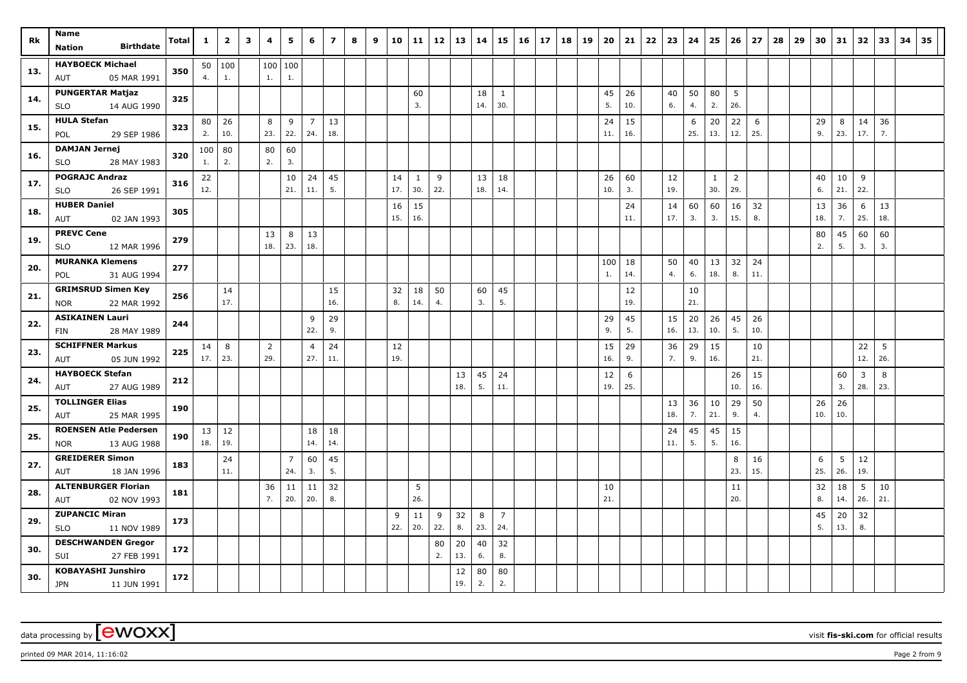| Rk  | Name<br><b>Birthdate</b><br>Nation                   | Total | $\mathbf{1}$ | $\overline{\mathbf{2}}$ | 3 | 4        | 5              | 6                     | $\overline{ }$ | 8 | 9 | 10        | 11           | 12  | 13        | 14        | 15                  | 16 | 17 | 18 | 19 | 20        | 21        | 22 | 23        | 24        | 25        | 26             | 27        | 28 | 29 | 30  | 31       | 32        | 33       | 34 | 35 |
|-----|------------------------------------------------------|-------|--------------|-------------------------|---|----------|----------------|-----------------------|----------------|---|---|-----------|--------------|-----|-----------|-----------|---------------------|----|----|----|----|-----------|-----------|----|-----------|-----------|-----------|----------------|-----------|----|----|-----|----------|-----------|----------|----|----|
|     |                                                      |       |              |                         |   |          |                |                       |                |   |   |           |              |     |           |           |                     |    |    |    |    |           |           |    |           |           |           |                |           |    |    |     |          |           |          |    |    |
| 13. | <b>HAYBOECK Michael</b><br>05 MAR 1991               | 350   | 4.           | 50   100<br>1.          |   | 1.       | 100 100<br>1.  |                       |                |   |   |           |              |     |           |           |                     |    |    |    |    |           |           |    |           |           |           |                |           |    |    |     |          |           |          |    |    |
|     | AUT                                                  |       |              |                         |   |          |                |                       |                |   |   |           |              |     |           |           |                     |    |    |    |    |           |           |    |           |           |           |                |           |    |    |     |          |           |          |    |    |
| 14. | <b>PUNGERTAR Matjaz</b><br>14 AUG 1990<br><b>SLO</b> | 325   |              |                         |   |          |                |                       |                |   |   |           | 60<br>3.     |     |           | 18<br>14. | $\mathbf{1}$<br>30. |    |    |    |    | 45<br>5.  | 26<br>10. |    | 40<br>6.  | 50<br>4.  | 80<br>2.  | 5<br>26.       |           |    |    |     |          |           |          |    |    |
|     | <b>HULA Stefan</b>                                   |       | 80           | 26                      |   | 8        | 9              | $\overline{7}$        | 13             |   |   |           |              |     |           |           |                     |    |    |    |    | 24        | 15        |    |           | 6         | 20        | 22             | 6         |    |    | 29  | 8        | 14        | 36       |    |    |
| 15. | 29 SEP 1986<br>POL                                   | 323   | 2.           | 10.                     |   | 23.      | 22.            | 24.                   | 18.            |   |   |           |              |     |           |           |                     |    |    |    |    | 11.       | 16.       |    |           | 25.       | 13.       | 12.            | 25.       |    |    | 9.  | 23.      | 17.       | 7.       |    |    |
|     | <b>DAMJAN Jernej</b>                                 |       | 100          | 80                      |   | 80       | 60             |                       |                |   |   |           |              |     |           |           |                     |    |    |    |    |           |           |    |           |           |           |                |           |    |    |     |          |           |          |    |    |
| 16. | <b>SLO</b><br>28 MAY 1983                            | 320   | 1.           | 2.                      |   | 2.       | 3.             |                       |                |   |   |           |              |     |           |           |                     |    |    |    |    |           |           |    |           |           |           |                |           |    |    |     |          |           |          |    |    |
|     | <b>POGRAJC Andraz</b>                                |       | 22           |                         |   |          | 10             | 24                    | 45             |   |   | 14        | $\mathbf{1}$ | 9   |           | 13        | 18                  |    |    |    |    | 26        | 60        |    | 12        |           | 1         | $\overline{2}$ |           |    |    | 40  | 10       | 9         |          |    |    |
| 17. | 26 SEP 1991<br><b>SLO</b>                            | 316   | 12.          |                         |   |          | 21.            | 11.                   | 5.             |   |   | 17.       | 30.          | 22. |           | 18.       | 14.                 |    |    |    |    | 10.       | 3.        |    | 19.       |           | 30.       | 29.            |           |    |    | 6.  | 21.      | 22.       |          |    |    |
| 18. | <b>HUBER Daniel</b>                                  | 305   |              |                         |   |          |                |                       |                |   |   | 16        | 15           |     |           |           |                     |    |    |    |    |           | 24        |    | 14        | 60        | 60        | 16             | 32        |    |    | 13  | 36       | 6         | 13       |    |    |
|     | 02 JAN 1993<br>AUT                                   |       |              |                         |   |          |                |                       |                |   |   | 15.       | 16.          |     |           |           |                     |    |    |    |    |           | 11.       |    | 17.       | 3.        | 3.        | 15.            | 8.        |    |    | 18. | 7.       | 25.       | 18.      |    |    |
| 19. | <b>PREVC Cene</b>                                    | 279   |              |                         |   | 13       | 8              | 13                    |                |   |   |           |              |     |           |           |                     |    |    |    |    |           |           |    |           |           |           |                |           |    |    | 80  | 45       | 60        | 60       |    |    |
|     | <b>SLO</b><br>12 MAR 1996                            |       |              |                         |   | 18.      | 23.            | 18.                   |                |   |   |           |              |     |           |           |                     |    |    |    |    |           |           |    |           |           |           |                |           |    |    | 2.  | 5.       | 3.        | 3.       |    |    |
| 20. | <b>MURANKA Klemens</b>                               | 277   |              |                         |   |          |                |                       |                |   |   |           |              |     |           |           |                     |    |    |    |    | 100       | 18        |    | 50        | 40        | 13        | 32             | 24        |    |    |     |          |           |          |    |    |
|     | 31 AUG 1994<br>POL                                   |       |              |                         |   |          |                |                       |                |   |   |           |              |     |           |           |                     |    |    |    |    | 1.        | 14.       |    | 4.        | 6.        | 18.       | 8.             | 11.       |    |    |     |          |           |          |    |    |
| 21. | <b>GRIMSRUD Simen Key</b>                            | 256   |              | 14                      |   |          |                |                       | 15             |   |   | 32        | 18           | 50  |           | 60        | 45                  |    |    |    |    |           | 12        |    |           | 10        |           |                |           |    |    |     |          |           |          |    |    |
|     | <b>NOR</b><br>22 MAR 1992                            |       |              | 17.                     |   |          |                |                       | 16.            |   |   | 8.        | 14.          | 4.  |           | 3.        | 5.                  |    |    |    |    |           | 19.       |    |           | 21.       |           |                |           |    |    |     |          |           |          |    |    |
| 22. | <b>ASIKAINEN Lauri</b>                               | 244   |              |                         |   |          |                | 9<br>22.              | 29<br>9.       |   |   |           |              |     |           |           |                     |    |    |    |    | 29<br>9.  | 45<br>5.  |    | 15<br>16. | 20<br>13. | 26<br>10. | 45<br>5.       | 26<br>10. |    |    |     |          |           |          |    |    |
|     | 28 MAY 1989<br>FIN                                   |       |              |                         |   |          |                |                       |                |   |   |           |              |     |           |           |                     |    |    |    |    |           |           |    |           |           |           |                |           |    |    |     |          |           |          |    |    |
| 23. | <b>SCHIFFNER Markus</b><br>AUT<br>05 JUN 1992        | 225   | 14<br>17.    | 8<br>23.                |   | 2<br>29. |                | $\overline{4}$<br>27. | 24<br>11.      |   |   | 12<br>19. |              |     |           |           |                     |    |    |    |    | 15<br>16. | 29<br>9.  |    | 36<br>7.  | 29<br>9.  | 15<br>16. |                | 10<br>21. |    |    |     |          | 22<br>12. | 5<br>26. |    |    |
|     | <b>HAYBOECK Stefan</b>                               |       |              |                         |   |          |                |                       |                |   |   |           |              |     |           |           |                     |    |    |    |    |           |           |    |           |           |           |                |           |    |    |     |          |           |          |    |    |
| 24. | 27 AUG 1989<br>AUT                                   | 212   |              |                         |   |          |                |                       |                |   |   |           |              |     | 13<br>18. | 45<br>5.  | 24<br>11.           |    |    |    |    | 12<br>19. | 6<br>25.  |    |           |           |           | 26<br>10.      | 15<br>16. |    |    |     | 60<br>3. | 3<br>28.  | 8<br>23. |    |    |
|     | <b>TOLLINGER Elias</b>                               |       |              |                         |   |          |                |                       |                |   |   |           |              |     |           |           |                     |    |    |    |    |           |           |    | 13        | 36        | 10        | 29             | 50        |    |    | 26  | 26       |           |          |    |    |
| 25. | 25 MAR 1995<br>AUT                                   | 190   |              |                         |   |          |                |                       |                |   |   |           |              |     |           |           |                     |    |    |    |    |           |           |    | 18.       | 7.        | 21.       | 9.             | 4.        |    |    | 10. | 10.      |           |          |    |    |
|     | <b>ROENSEN Atle Pedersen</b>                         |       |              | $13 \mid 12$            |   |          |                | 18                    | 18             |   |   |           |              |     |           |           |                     |    |    |    |    |           |           |    | 24        | 45        | 45        | 15             |           |    |    |     |          |           |          |    |    |
| 25. | 13 AUG 1988<br><b>NOR</b>                            | 190   | 18.          | 19.                     |   |          |                | 14.                   | 14.            |   |   |           |              |     |           |           |                     |    |    |    |    |           |           |    | 11.       | 5.        | 5.        | 16.            |           |    |    |     |          |           |          |    |    |
|     | <b>GREIDERER Simon</b>                               |       |              | 24                      |   |          | $\overline{7}$ | 60                    | 45             |   |   |           |              |     |           |           |                     |    |    |    |    |           |           |    |           |           |           | 8              | 16        |    |    | 6   | 5        | 12        |          |    |    |
| 27. | 18 JAN 1996<br>AUT                                   | 183   |              | 11.                     |   |          | 24.            | 3.                    | 5.             |   |   |           |              |     |           |           |                     |    |    |    |    |           |           |    |           |           |           | 23.            | 15.       |    |    | 25. | 26.      | 19.       |          |    |    |
| 28. | <b>ALTENBURGER Florian</b>                           | 181   |              |                         |   | 36       | 11             | 11                    | 32             |   |   |           | 5            |     |           |           |                     |    |    |    |    | 10        |           |    |           |           |           | 11             |           |    |    | 32  | 18       | 5         | 10       |    |    |
|     | 02 NOV 1993<br>AUT                                   |       |              |                         |   | 7.       | 20.            | 20.                   | 8.             |   |   |           | 26.          |     |           |           |                     |    |    |    |    | 21.       |           |    |           |           |           | 20.            |           |    |    | 8.  | 14.      | 26.       | 21.      |    |    |
| 29. | <b>ZUPANCIC Miran</b>                                | 173   |              |                         |   |          |                |                       |                |   |   | 9         | 11           | 9   | 32        | 8         | $\overline{7}$      |    |    |    |    |           |           |    |           |           |           |                |           |    |    | 45  | 20       | 32        |          |    |    |
|     | 11 NOV 1989<br><b>SLO</b>                            |       |              |                         |   |          |                |                       |                |   |   | 22.       | 20.          | 22. | 8.        | 23.       | 24.                 |    |    |    |    |           |           |    |           |           |           |                |           |    |    | 5.  | 13.      | 8.        |          |    |    |
| 30. | <b>DESCHWANDEN Gregor</b>                            | 172   |              |                         |   |          |                |                       |                |   |   |           |              | 80  | 20        | 40        | 32                  |    |    |    |    |           |           |    |           |           |           |                |           |    |    |     |          |           |          |    |    |
|     | SUI<br>27 FEB 1991                                   |       |              |                         |   |          |                |                       |                |   |   |           |              | 2.  | 13.       | 6.        | 8.                  |    |    |    |    |           |           |    |           |           |           |                |           |    |    |     |          |           |          |    |    |
| 30. | <b>KOBAYASHI Junshiro</b>                            | 172   |              |                         |   |          |                |                       |                |   |   |           |              |     | 12<br>19. | 80<br>2.  | 80                  |    |    |    |    |           |           |    |           |           |           |                |           |    |    |     |          |           |          |    |    |
|     | <b>JPN</b><br>11 JUN 1991                            |       |              |                         |   |          |                |                       |                |   |   |           |              |     |           |           | 2.                  |    |    |    |    |           |           |    |           |           |           |                |           |    |    |     |          |           |          |    |    |

printed 09 MAR 2014, 11:16:02 **Page 2** from 9 Page 2 from 9 Page 2 from 9 Page 2 from 9 Page 2 from 9 Page 2 from 9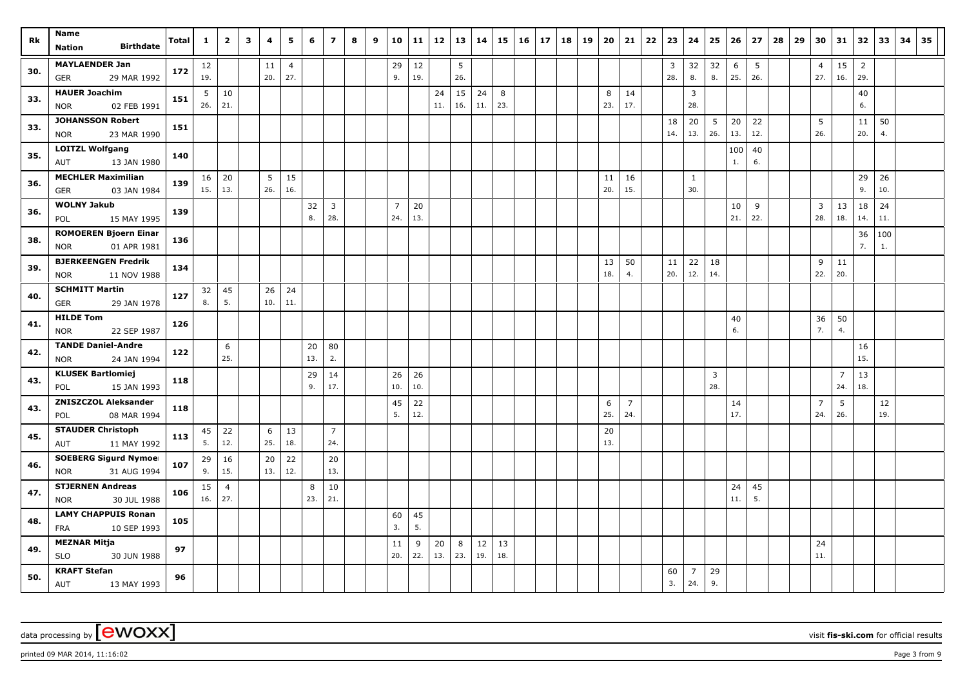| Rk  | Name                                              |       | 1               | $\overline{2}$ | $\mathbf{3}$ | 4        | 5              | 6        | $\overline{z}$        | 8 | 9 | 10             | 11        | 12  | 13  | 14  | 15  | 16 | 17 | 18 | 19 | 20        | 21                    | 22 | 23  | 24             | 25       | 26        | 27  | 28 | 29 | 30                    | 31                    | 32             | 33        | 34 | 35 |
|-----|---------------------------------------------------|-------|-----------------|----------------|--------------|----------|----------------|----------|-----------------------|---|---|----------------|-----------|-----|-----|-----|-----|----|----|----|----|-----------|-----------------------|----|-----|----------------|----------|-----------|-----|----|----|-----------------------|-----------------------|----------------|-----------|----|----|
|     | <b>Birthdate</b><br><b>Nation</b>                 | Total |                 |                |              |          |                |          |                       |   |   |                |           |     |     |     |     |    |    |    |    |           |                       |    |     |                |          |           |     |    |    |                       |                       |                |           |    |    |
| 30. | <b>MAYLAENDER Jan</b>                             | 172   | 12              |                |              | 11       | $\overline{4}$ |          |                       |   |   | 29             | 12        |     | 5   |     |     |    |    |    |    |           |                       |    | 3   | 32             | 32       | 6         | 5   |    |    | $\overline{4}$        | 15                    | $\overline{2}$ |           |    |    |
|     | 29 MAR 1992<br>GER                                |       | 19.             |                |              | 20.      | 27.            |          |                       |   |   | 9.             | 19.       |     | 26. |     |     |    |    |    |    |           |                       |    | 28. | 8.             | 8.       | 25.       | 26. |    |    | 27.                   | 16.                   | 29.            |           |    |    |
| 33. | <b>HAUER Joachim</b>                              | 151   | 5               | 10             |              |          |                |          |                       |   |   |                |           | 24  | 15  | 24  | 8   |    |    |    |    | 8         | 14                    |    |     | 3              |          |           |     |    |    |                       |                       | 40             |           |    |    |
|     | 02 FEB 1991<br><b>NOR</b>                         |       | 26.             | 21.            |              |          |                |          |                       |   |   |                |           | 11. | 16. | 11. | 23. |    |    |    |    | 23.       | 17.                   |    |     | 28.            |          |           |     |    |    |                       |                       | 6.             |           |    |    |
| 33. | <b>JOHANSSON Robert</b>                           | 151   |                 |                |              |          |                |          |                       |   |   |                |           |     |     |     |     |    |    |    |    |           |                       |    | 18  | 20             | 5        | 20        | 22  |    |    | 5                     |                       | 11             | 50        |    |    |
|     | 23 MAR 1990<br><b>NOR</b>                         |       |                 |                |              |          |                |          |                       |   |   |                |           |     |     |     |     |    |    |    |    |           |                       |    | 14. | 13.            | 26.      | 13.       | 12. |    |    | 26.                   |                       | 20.            | 4.        |    |    |
| 35. | <b>LOITZL Wolfgang</b>                            | 140   |                 |                |              |          |                |          |                       |   |   |                |           |     |     |     |     |    |    |    |    |           |                       |    |     |                |          | 100       | 40  |    |    |                       |                       |                |           |    |    |
|     | 13 JAN 1980<br>AUT                                |       |                 |                |              |          |                |          |                       |   |   |                |           |     |     |     |     |    |    |    |    |           |                       |    |     |                |          | 1.        | 6.  |    |    |                       |                       |                |           |    |    |
| 36. | <b>MECHLER Maximilian</b>                         | 139   | 16 <sup>1</sup> | 20             |              | 5        | 15             |          |                       |   |   |                |           |     |     |     |     |    |    |    |    | 11        | 16                    |    |     | $\mathbf{1}$   |          |           |     |    |    |                       |                       | 29             | 26        |    |    |
|     | GER<br>03 JAN 1984                                |       | 15.             | 13.            |              | 26.      | 16.            |          |                       |   |   |                |           |     |     |     |     |    |    |    |    | 20.       | 15.                   |    |     | 30.            |          |           |     |    |    |                       |                       | 9.             | 10.       |    |    |
| 36. | <b>WOLNY Jakub</b>                                | 139   |                 |                |              |          |                | 32       | 3                     |   |   | $\overline{7}$ | 20        |     |     |     |     |    |    |    |    |           |                       |    |     |                |          | 10        | 9   |    |    | $\overline{3}$        | 13                    | 18             | 24        |    |    |
|     | POL<br>15 MAY 1995                                |       |                 |                |              |          |                | 8.       | 28.                   |   |   | 24.            | 13.       |     |     |     |     |    |    |    |    |           |                       |    |     |                |          | 21.       | 22. |    |    | 28.                   | 18.                   | 14.            | 11.       |    |    |
| 38. | <b>ROMOEREN Bjoern Einar</b>                      | 136   |                 |                |              |          |                |          |                       |   |   |                |           |     |     |     |     |    |    |    |    |           |                       |    |     |                |          |           |     |    |    |                       |                       | 36             | 100       |    |    |
|     | 01 APR 1981<br><b>NOR</b>                         |       |                 |                |              |          |                |          |                       |   |   |                |           |     |     |     |     |    |    |    |    |           |                       |    |     |                |          |           |     |    |    |                       |                       | 7.             | 1.        |    |    |
| 39. | <b>BJERKEENGEN Fredrik</b>                        | 134   |                 |                |              |          |                |          |                       |   |   |                |           |     |     |     |     |    |    |    |    | 13        | 50                    |    | 11  | 22             | 18       |           |     |    |    | 9                     | 11                    |                |           |    |    |
|     | <b>NOR</b><br>11 NOV 1988                         |       |                 |                |              |          |                |          |                       |   |   |                |           |     |     |     |     |    |    |    |    | 18.       | 4.                    |    | 20. | 12.            | 14.      |           |     |    |    | 22.                   | 20.                   |                |           |    |    |
| 40. | <b>SCHMITT Martin</b>                             | 127   | 32              | 45             |              | 26       | 24             |          |                       |   |   |                |           |     |     |     |     |    |    |    |    |           |                       |    |     |                |          |           |     |    |    |                       |                       |                |           |    |    |
|     | GER<br>29 JAN 1978                                |       | 8.              | 5.             |              | 10.      | 11.            |          |                       |   |   |                |           |     |     |     |     |    |    |    |    |           |                       |    |     |                |          |           |     |    |    |                       |                       |                |           |    |    |
| 41. | <b>HILDE Tom</b>                                  | 126   |                 |                |              |          |                |          |                       |   |   |                |           |     |     |     |     |    |    |    |    |           |                       |    |     |                |          | 40        |     |    |    | 36                    | 50                    |                |           |    |    |
|     | <b>NOR</b><br>22 SEP 1987                         |       |                 |                |              |          |                |          |                       |   |   |                |           |     |     |     |     |    |    |    |    |           |                       |    |     |                |          | 6.        |     |    |    | 7.                    | $\overline{4}$ .      |                |           |    |    |
| 42. | <b>TANDE Daniel-Andre</b>                         | 122   |                 | 6              |              |          |                | 20       | 80                    |   |   |                |           |     |     |     |     |    |    |    |    |           |                       |    |     |                |          |           |     |    |    |                       |                       | 16             |           |    |    |
|     | 24 JAN 1994<br><b>NOR</b>                         |       |                 | 25.            |              |          |                | 13.      | 2.                    |   |   |                |           |     |     |     |     |    |    |    |    |           |                       |    |     |                |          |           |     |    |    |                       |                       | 15.            |           |    |    |
| 43. | <b>KLUSEK Bartlomiej</b>                          | 118   |                 |                |              |          |                | 29<br>9. | 14<br>17.             |   |   | 26<br>10.      | 26<br>10. |     |     |     |     |    |    |    |    |           |                       |    |     |                | 3<br>28. |           |     |    |    |                       | $\overline{7}$<br>24. | 13<br>18.      |           |    |    |
|     | POL<br>15 JAN 1993                                |       |                 |                |              |          |                |          |                       |   |   |                |           |     |     |     |     |    |    |    |    |           |                       |    |     |                |          |           |     |    |    |                       |                       |                |           |    |    |
| 43. | <b>ZNISZCZOL Aleksander</b><br>08 MAR 1994<br>POL | 118   |                 |                |              |          |                |          |                       |   |   | 45<br>5.       | 22<br>12. |     |     |     |     |    |    |    |    | 6<br>25.  | $\overline{7}$<br>24. |    |     |                |          | 14<br>17. |     |    |    | $\overline{7}$<br>24. | 5<br>26.              |                | 12<br>19. |    |    |
|     | <b>STAUDER Christoph</b>                          |       |                 |                |              |          |                |          |                       |   |   |                |           |     |     |     |     |    |    |    |    |           |                       |    |     |                |          |           |     |    |    |                       |                       |                |           |    |    |
| 45. | 11 MAY 1992<br><b>AUT</b>                         | 113   | 45<br>5.        | 22<br>12.      |              | 6<br>25. | 13<br>18.      |          | $\overline{7}$<br>24. |   |   |                |           |     |     |     |     |    |    |    |    | 20<br>13. |                       |    |     |                |          |           |     |    |    |                       |                       |                |           |    |    |
|     | <b>SOEBERG Sigurd Nymoel</b>                      |       | 29              | 16             |              | 20       | 22             |          | 20                    |   |   |                |           |     |     |     |     |    |    |    |    |           |                       |    |     |                |          |           |     |    |    |                       |                       |                |           |    |    |
| 46. | 31 AUG 1994<br><b>NOR</b>                         | 107   | 9.              | 15.            |              | 13.      | 12.            |          | 13.                   |   |   |                |           |     |     |     |     |    |    |    |    |           |                       |    |     |                |          |           |     |    |    |                       |                       |                |           |    |    |
|     | <b>STJERNEN Andreas</b>                           |       | 15              | $\overline{4}$ |              |          |                | 8        | 10                    |   |   |                |           |     |     |     |     |    |    |    |    |           |                       |    |     |                |          | 24        | 45  |    |    |                       |                       |                |           |    |    |
| 47. | <b>NOR</b><br>30 JUL 1988                         | 106   | 16.             | 27.            |              |          |                | 23.      | 21.                   |   |   |                |           |     |     |     |     |    |    |    |    |           |                       |    |     |                |          | 11.       | 5.  |    |    |                       |                       |                |           |    |    |
|     | <b>LAMY CHAPPUIS Ronan</b>                        |       |                 |                |              |          |                |          |                       |   |   | 60             | 45        |     |     |     |     |    |    |    |    |           |                       |    |     |                |          |           |     |    |    |                       |                       |                |           |    |    |
| 48. | 10 SEP 1993<br><b>FRA</b>                         | 105   |                 |                |              |          |                |          |                       |   |   | 3.             | 5.        |     |     |     |     |    |    |    |    |           |                       |    |     |                |          |           |     |    |    |                       |                       |                |           |    |    |
|     | <b>MEZNAR Mitja</b>                               |       |                 |                |              |          |                |          |                       |   |   | 11             | 9         | 20  | 8   | 12  | 13  |    |    |    |    |           |                       |    |     |                |          |           |     |    |    | 24                    |                       |                |           |    |    |
| 49. | <b>SLO</b><br>30 JUN 1988                         | 97    |                 |                |              |          |                |          |                       |   |   | 20.            | 22.       | 13. | 23. | 19. | 18. |    |    |    |    |           |                       |    |     |                |          |           |     |    |    | 11.                   |                       |                |           |    |    |
|     | <b>KRAFT Stefan</b>                               |       |                 |                |              |          |                |          |                       |   |   |                |           |     |     |     |     |    |    |    |    |           |                       |    | 60  | $\overline{7}$ | 29       |           |     |    |    |                       |                       |                |           |    |    |
| 50. | AUT<br>13 MAY 1993                                | 96    |                 |                |              |          |                |          |                       |   |   |                |           |     |     |     |     |    |    |    |    |           |                       |    | 3.  | 24.            | 9.       |           |     |    |    |                       |                       |                |           |    |    |

data processing by **CWOXX** wisit **fis-ski.com** for official results

printed 09 MAR 2014, 11:16:02 **Page 3** from 9 Page 3 from 9 Page 3 from 9 Page 3 from 9 Page 3 from 9 Page 3 from 9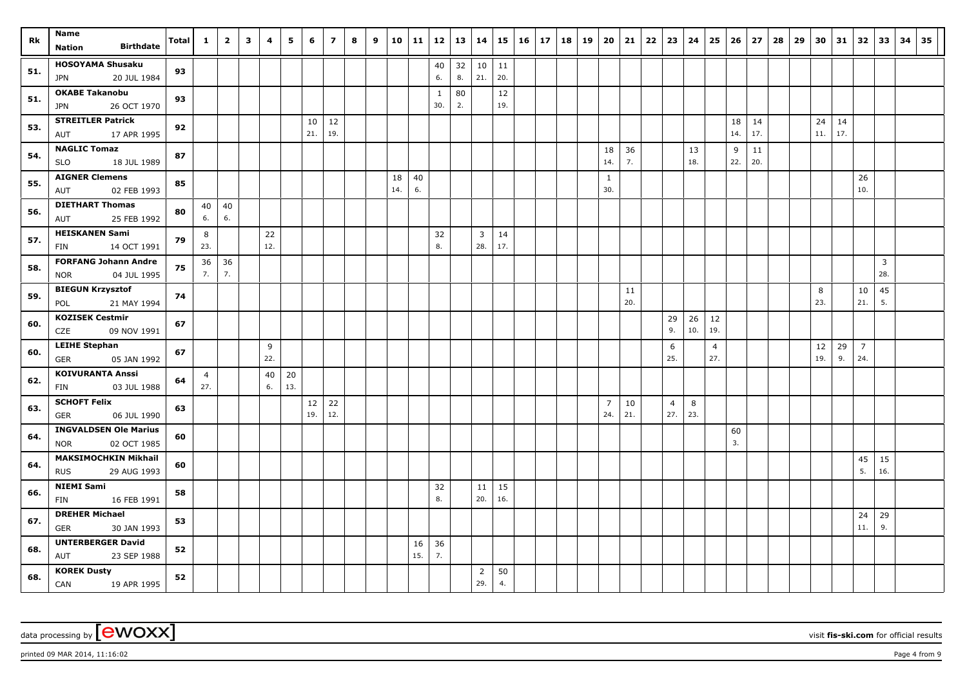| Rk  | Name<br><b>Birthdate</b>                    | Total | $\mathbf{1}$   | $\overline{2}$ | $\mathbf{3}$ | 4        | 5   | - 6       | $\overline{z}$ | 8 | 9 | 10  | 11  | 12                  | 13       | 14             |           | $15 \mid 16$ | 17 | 18 | 19 | 20             | 21  | $22 \mid 23$   | 24        | 25                    | 26        | 27        | 28 | 29 | 30        | 31        | 32                    | 33             | 34 | 35 |
|-----|---------------------------------------------|-------|----------------|----------------|--------------|----------|-----|-----------|----------------|---|---|-----|-----|---------------------|----------|----------------|-----------|--------------|----|----|----|----------------|-----|----------------|-----------|-----------------------|-----------|-----------|----|----|-----------|-----------|-----------------------|----------------|----|----|
|     | <b>Nation</b>                               |       |                |                |              |          |     |           |                |   |   |     |     |                     |          |                |           |              |    |    |    |                |     |                |           |                       |           |           |    |    |           |           |                       |                |    |    |
| 51. | <b>HOSOYAMA Shusaku</b>                     | 93    |                |                |              |          |     |           |                |   |   |     |     | 40<br>6.            | 32<br>8. | 10<br>21.      | 11<br>20. |              |    |    |    |                |     |                |           |                       |           |           |    |    |           |           |                       |                |    |    |
|     | 20 JUL 1984<br>JPN                          |       |                |                |              |          |     |           |                |   |   |     |     |                     |          |                |           |              |    |    |    |                |     |                |           |                       |           |           |    |    |           |           |                       |                |    |    |
| 51. | <b>OKABE Takanobu</b><br>26 OCT 1970<br>JPN | 93    |                |                |              |          |     |           |                |   |   |     |     | $\mathbf{1}$<br>30. | 80<br>2. |                | 12<br>19. |              |    |    |    |                |     |                |           |                       |           |           |    |    |           |           |                       |                |    |    |
|     | <b>STREITLER Patrick</b>                    |       |                |                |              |          |     |           |                |   |   |     |     |                     |          |                |           |              |    |    |    |                |     |                |           |                       |           |           |    |    |           |           |                       |                |    |    |
| 53. | 17 APR 1995<br>AUT                          | 92    |                |                |              |          |     | 10<br>21. | 12<br>19.      |   |   |     |     |                     |          |                |           |              |    |    |    |                |     |                |           |                       | 18<br>14. | 14<br>17. |    |    | 24<br>11. | 14<br>17. |                       |                |    |    |
|     | <b>NAGLIC Tomaz</b>                         |       |                |                |              |          |     |           |                |   |   |     |     |                     |          |                |           |              |    |    |    | 18             | 36  |                | 13        |                       | 9         | 11        |    |    |           |           |                       |                |    |    |
| 54. | <b>SLO</b><br>18 JUL 1989                   | 87    |                |                |              |          |     |           |                |   |   |     |     |                     |          |                |           |              |    |    |    | 14.            | 7.  |                | 18.       |                       | 22.       | 20.       |    |    |           |           |                       |                |    |    |
| 55. | <b>AIGNER Clemens</b>                       | 85    |                |                |              |          |     |           |                |   |   | 18  | 40  |                     |          |                |           |              |    |    |    | $\mathbf{1}$   |     |                |           |                       |           |           |    |    |           |           | 26                    |                |    |    |
|     | AUT<br>02 FEB 1993                          |       |                |                |              |          |     |           |                |   |   | 14. | 6.  |                     |          |                |           |              |    |    |    | 30.            |     |                |           |                       |           |           |    |    |           |           | 10.                   |                |    |    |
| 56. | <b>DIETHART Thomas</b>                      | 80    | 40             | 40             |              |          |     |           |                |   |   |     |     |                     |          |                |           |              |    |    |    |                |     |                |           |                       |           |           |    |    |           |           |                       |                |    |    |
|     | 25 FEB 1992<br>AUT                          |       | 6.             | 6.             |              |          |     |           |                |   |   |     |     |                     |          |                |           |              |    |    |    |                |     |                |           |                       |           |           |    |    |           |           |                       |                |    |    |
| 57. | <b>HEISKANEN Sami</b>                       | 79    | 8              |                |              | 22       |     |           |                |   |   |     |     | 32                  |          | $\overline{3}$ | 14        |              |    |    |    |                |     |                |           |                       |           |           |    |    |           |           |                       |                |    |    |
|     | 14 OCT 1991<br>FIN                          |       | 23.            |                |              | 12.      |     |           |                |   |   |     |     | 8.                  |          | 28.            | 17.       |              |    |    |    |                |     |                |           |                       |           |           |    |    |           |           |                       |                |    |    |
| 58. | <b>FORFANG Johann Andre</b>                 | 75    | 36             | 36             |              |          |     |           |                |   |   |     |     |                     |          |                |           |              |    |    |    |                |     |                |           |                       |           |           |    |    |           |           |                       | $\overline{3}$ |    |    |
|     | 04 JUL 1995<br>NOR                          |       | 7.             | 7.             |              |          |     |           |                |   |   |     |     |                     |          |                |           |              |    |    |    |                |     |                |           |                       |           |           |    |    |           |           |                       | 28.            |    |    |
| 59. | <b>BIEGUN Krzysztof</b>                     | 74    |                |                |              |          |     |           |                |   |   |     |     |                     |          |                |           |              |    |    |    |                | 11  |                |           |                       |           |           |    |    | 8         |           | 10                    | 45             |    |    |
|     | POL<br>21 MAY 1994                          |       |                |                |              |          |     |           |                |   |   |     |     |                     |          |                |           |              |    |    |    |                | 20. |                |           |                       |           |           |    |    | 23.       |           | 21.                   | 5.             |    |    |
| 60. | <b>KOZISEK Cestmir</b>                      | 67    |                |                |              |          |     |           |                |   |   |     |     |                     |          |                |           |              |    |    |    |                |     | 29<br>9.       | 26<br>10. | 12<br>19.             |           |           |    |    |           |           |                       |                |    |    |
|     | 09 NOV 1991<br>CZE<br><b>LEIHE Stephan</b>  |       |                |                |              |          |     |           |                |   |   |     |     |                     |          |                |           |              |    |    |    |                |     |                |           |                       |           |           |    |    |           |           |                       |                |    |    |
| 60. | GER<br>05 JAN 1992                          | 67    |                |                |              | 9<br>22. |     |           |                |   |   |     |     |                     |          |                |           |              |    |    |    |                |     | 6<br>25.       |           | $\overline{4}$<br>27. |           |           |    |    | 12<br>19. | 29<br>9.  | $\overline{7}$<br>24. |                |    |    |
|     | <b>KOIVURANTA Anssi</b>                     |       | $\overline{4}$ |                |              | 40       | 20  |           |                |   |   |     |     |                     |          |                |           |              |    |    |    |                |     |                |           |                       |           |           |    |    |           |           |                       |                |    |    |
| 62. | FIN<br>03 JUL 1988                          | 64    | 27.            |                |              | 6.       | 13. |           |                |   |   |     |     |                     |          |                |           |              |    |    |    |                |     |                |           |                       |           |           |    |    |           |           |                       |                |    |    |
|     | <b>SCHOFT Felix</b>                         |       |                |                |              |          |     | 12        | 22             |   |   |     |     |                     |          |                |           |              |    |    |    | $\overline{7}$ | 10  | $\overline{4}$ | 8         |                       |           |           |    |    |           |           |                       |                |    |    |
| 63. | <b>GER</b><br>06 JUL 1990                   | 63    |                |                |              |          |     | 19.       | 12.            |   |   |     |     |                     |          |                |           |              |    |    |    | 24.            | 21. | 27.            | 23.       |                       |           |           |    |    |           |           |                       |                |    |    |
|     | <b>INGVALDSEN Ole Marius</b>                |       |                |                |              |          |     |           |                |   |   |     |     |                     |          |                |           |              |    |    |    |                |     |                |           |                       | 60        |           |    |    |           |           |                       |                |    |    |
| 64. | 02 OCT 1985<br>NOR                          | 60    |                |                |              |          |     |           |                |   |   |     |     |                     |          |                |           |              |    |    |    |                |     |                |           |                       | 3.        |           |    |    |           |           |                       |                |    |    |
|     | <b>MAKSIMOCHKIN Mikhail</b>                 |       |                |                |              |          |     |           |                |   |   |     |     |                     |          |                |           |              |    |    |    |                |     |                |           |                       |           |           |    |    |           |           | 45                    | 15             |    |    |
| 64. | 29 AUG 1993<br><b>RUS</b>                   | 60    |                |                |              |          |     |           |                |   |   |     |     |                     |          |                |           |              |    |    |    |                |     |                |           |                       |           |           |    |    |           |           | 5.                    | 16.            |    |    |
|     | <b>NIEMI Sami</b>                           |       |                |                |              |          |     |           |                |   |   |     |     | 32                  |          | 11             | 15        |              |    |    |    |                |     |                |           |                       |           |           |    |    |           |           |                       |                |    |    |
| 66. | FIN<br>16 FEB 1991                          | 58    |                |                |              |          |     |           |                |   |   |     |     | 8.                  |          | 20.            | 16.       |              |    |    |    |                |     |                |           |                       |           |           |    |    |           |           |                       |                |    |    |
| 67. | <b>DREHER Michael</b>                       | 53    |                |                |              |          |     |           |                |   |   |     |     |                     |          |                |           |              |    |    |    |                |     |                |           |                       |           |           |    |    |           |           | 24                    | 29             |    |    |
|     | <b>GER</b><br>30 JAN 1993                   |       |                |                |              |          |     |           |                |   |   |     |     |                     |          |                |           |              |    |    |    |                |     |                |           |                       |           |           |    |    |           |           | 11.                   | 9.             |    |    |
| 68. | <b>UNTERBERGER David</b>                    | 52    |                |                |              |          |     |           |                |   |   |     | 16  | 36                  |          |                |           |              |    |    |    |                |     |                |           |                       |           |           |    |    |           |           |                       |                |    |    |
|     | 23 SEP 1988<br>AUT                          |       |                |                |              |          |     |           |                |   |   |     | 15. | 7.                  |          |                |           |              |    |    |    |                |     |                |           |                       |           |           |    |    |           |           |                       |                |    |    |
| 68. | <b>KOREK Dusty</b>                          | 52    |                |                |              |          |     |           |                |   |   |     |     |                     |          | $\overline{2}$ | 50        |              |    |    |    |                |     |                |           |                       |           |           |    |    |           |           |                       |                |    |    |
|     | CAN<br>19 APR 1995                          |       |                |                |              |          |     |           |                |   |   |     |     |                     |          | 29.            | 4.        |              |    |    |    |                |     |                |           |                       |           |           |    |    |           |           |                       |                |    |    |

printed 09 MAR 2014, 11:16:02 **Page 4 from 9** Page 4 from 9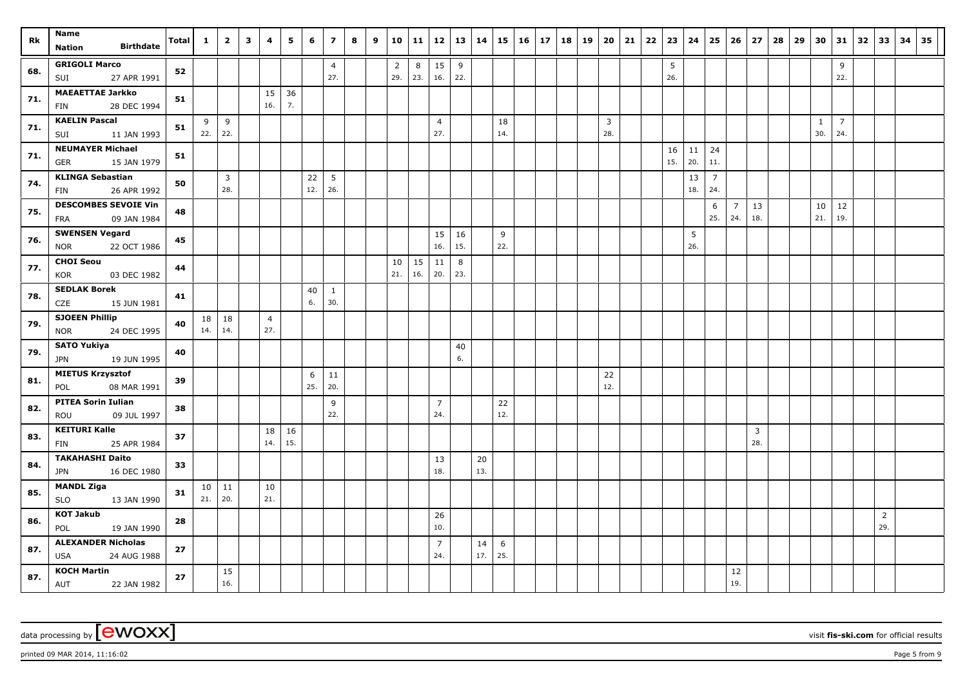| Rk  | Name                                                     | <b>Total</b> | $\mathbf 1$ | $\overline{2}$        | $\mathbf{3}$ | 4                     | 5         | 6         | $\overline{z}$        | 8 | 9 | 10                    | 11        | 12                    | 13        | 14        | 15        | 16 | 17 | 18 | 19 | 20                    | 21 | 22 | 23        | 24        | 25                    | 26                    | 27                    | 28 | 29 | 30                  | 31                    | 32 | 33                    | 34 | 35 |
|-----|----------------------------------------------------------|--------------|-------------|-----------------------|--------------|-----------------------|-----------|-----------|-----------------------|---|---|-----------------------|-----------|-----------------------|-----------|-----------|-----------|----|----|----|----|-----------------------|----|----|-----------|-----------|-----------------------|-----------------------|-----------------------|----|----|---------------------|-----------------------|----|-----------------------|----|----|
|     | <b>Birthdate</b><br><b>Nation</b>                        |              |             |                       |              |                       |           |           |                       |   |   |                       |           |                       |           |           |           |    |    |    |    |                       |    |    |           |           |                       |                       |                       |    |    |                     |                       |    |                       |    |    |
| 68. | <b>GRIGOLI Marco</b><br>27 APR 1991<br>SUI               | 52           |             |                       |              |                       |           |           | $\overline{4}$<br>27. |   |   | $\overline{2}$<br>29. | 8<br>23.  | 15<br>16.             | 9<br>22.  |           |           |    |    |    |    |                       |    |    | 5<br>26.  |           |                       |                       |                       |    |    |                     | 9<br>22.              |    |                       |    |    |
| 71. | <b>MAEAETTAE Jarkko</b><br>28 DEC 1994<br>FIN            | 51           |             |                       |              | 15<br>16.             | 36<br>7.  |           |                       |   |   |                       |           |                       |           |           |           |    |    |    |    |                       |    |    |           |           |                       |                       |                       |    |    |                     |                       |    |                       |    |    |
| 71. | <b>KAELIN Pascal</b><br>SUI<br>11 JAN 1993               | 51           | 9<br>22.    | 9<br>22.              |              |                       |           |           |                       |   |   |                       |           | $\overline{4}$<br>27. |           |           | 18<br>14. |    |    |    |    | $\overline{3}$<br>28. |    |    |           |           |                       |                       |                       |    |    | $\mathbf{1}$<br>30. | $\overline{7}$<br>24. |    |                       |    |    |
| 71. | <b>NEUMAYER Michael</b><br><b>GER</b><br>15 JAN 1979     | 51           |             |                       |              |                       |           |           |                       |   |   |                       |           |                       |           |           |           |    |    |    |    |                       |    |    | 16<br>15. | 11<br>20. | 24<br>11.             |                       |                       |    |    |                     |                       |    |                       |    |    |
| 74. | <b>KLINGA Sebastian</b><br>26 APR 1992<br>FIN            | 50           |             | $\overline{3}$<br>28. |              |                       |           | 22<br>12. | 5<br>26.              |   |   |                       |           |                       |           |           |           |    |    |    |    |                       |    |    |           | 13<br>18. | $\overline{7}$<br>24. |                       |                       |    |    |                     |                       |    |                       |    |    |
| 75. | <b>DESCOMBES SEVOIE Vin</b><br>09 JAN 1984<br><b>FRA</b> | 48           |             |                       |              |                       |           |           |                       |   |   |                       |           |                       |           |           |           |    |    |    |    |                       |    |    |           |           | 6<br>25.              | $\overline{7}$<br>24. | 13<br>18.             |    |    | 10<br>21.           | $12\,$<br>19.         |    |                       |    |    |
| 76. | <b>SWENSEN Vegard</b><br>22 OCT 1986<br><b>NOR</b>       | 45           |             |                       |              |                       |           |           |                       |   |   |                       |           | 15<br>16.             | 16<br>15. |           | 9<br>22.  |    |    |    |    |                       |    |    |           | 5<br>26.  |                       |                       |                       |    |    |                     |                       |    |                       |    |    |
| 77. | <b>CHOI Seou</b><br>03 DEC 1982<br><b>KOR</b>            | 44           |             |                       |              |                       |           |           |                       |   |   | 10<br>21.             | 15<br>16. | 11<br>20.             | 8<br>23.  |           |           |    |    |    |    |                       |    |    |           |           |                       |                       |                       |    |    |                     |                       |    |                       |    |    |
| 78. | <b>SEDLAK Borek</b><br>CZE<br>15 JUN 1981                | 41           |             |                       |              |                       |           | 40<br>6.  | $\mathbf{1}$<br>30.   |   |   |                       |           |                       |           |           |           |    |    |    |    |                       |    |    |           |           |                       |                       |                       |    |    |                     |                       |    |                       |    |    |
| 79. | <b>SJOEEN Phillip</b><br><b>NOR</b><br>24 DEC 1995       | 40           | 18<br>14.   | 18<br>14.             |              | $\overline{4}$<br>27. |           |           |                       |   |   |                       |           |                       |           |           |           |    |    |    |    |                       |    |    |           |           |                       |                       |                       |    |    |                     |                       |    |                       |    |    |
| 79. | <b>SATO Yukiya</b><br>19 JUN 1995<br>JPN                 | 40           |             |                       |              |                       |           |           |                       |   |   |                       |           |                       | 40<br>6.  |           |           |    |    |    |    |                       |    |    |           |           |                       |                       |                       |    |    |                     |                       |    |                       |    |    |
| 81. | <b>MIETUS Krzysztof</b><br>08 MAR 1991<br>POL            | 39           |             |                       |              |                       |           | 6<br>25.  | 11<br>20.             |   |   |                       |           |                       |           |           |           |    |    |    |    | 22<br>12.             |    |    |           |           |                       |                       |                       |    |    |                     |                       |    |                       |    |    |
| 82. | <b>PITEA Sorin Iulian</b><br>ROU<br>09 JUL 1997          | 38           |             |                       |              |                       |           |           | 9<br>22.              |   |   |                       |           | $\overline{7}$<br>24. |           |           | 22<br>12. |    |    |    |    |                       |    |    |           |           |                       |                       |                       |    |    |                     |                       |    |                       |    |    |
| 83. | <b>KEITURI Kalle</b><br><b>FIN</b><br>25 APR 1984        | 37           |             |                       |              | 18<br>14.             | 16<br>15. |           |                       |   |   |                       |           |                       |           |           |           |    |    |    |    |                       |    |    |           |           |                       |                       | $\overline{3}$<br>28. |    |    |                     |                       |    |                       |    |    |
| 84. | <b>TAKAHASHI Daito</b><br>16 DEC 1980<br><b>JPN</b>      | 33           |             |                       |              |                       |           |           |                       |   |   |                       |           | 13<br>18.             |           | 20<br>13. |           |    |    |    |    |                       |    |    |           |           |                       |                       |                       |    |    |                     |                       |    |                       |    |    |
| 85. | <b>MANDL Ziga</b><br>13 JAN 1990<br><b>SLO</b>           | 31           | 10<br>21.   | 11<br>20.             |              | 10<br>21.             |           |           |                       |   |   |                       |           |                       |           |           |           |    |    |    |    |                       |    |    |           |           |                       |                       |                       |    |    |                     |                       |    |                       |    |    |
| 86. | <b>KOT Jakub</b><br>POL<br>19 JAN 1990                   | 28           |             |                       |              |                       |           |           |                       |   |   |                       |           | 26<br>10.             |           |           |           |    |    |    |    |                       |    |    |           |           |                       |                       |                       |    |    |                     |                       |    | $\overline{2}$<br>29. |    |    |
| 87. | <b>ALEXANDER Nicholas</b><br><b>USA</b><br>24 AUG 1988   | 27           |             |                       |              |                       |           |           |                       |   |   |                       |           | $\overline{7}$<br>24. |           | 14<br>17. | 6<br>25.  |    |    |    |    |                       |    |    |           |           |                       |                       |                       |    |    |                     |                       |    |                       |    |    |
| 87. | <b>KOCH Martin</b><br>AUT<br>22 JAN 1982                 | 27           |             | 15<br>16.             |              |                       |           |           |                       |   |   |                       |           |                       |           |           |           |    |    |    |    |                       |    |    |           |           |                       | 12<br>19.             |                       |    |    |                     |                       |    |                       |    |    |

data processing by **CWOXX** wisit **fis-ski.com** for official results

 $p$ rinted 09 MAR 2014, 11:16:02  $p$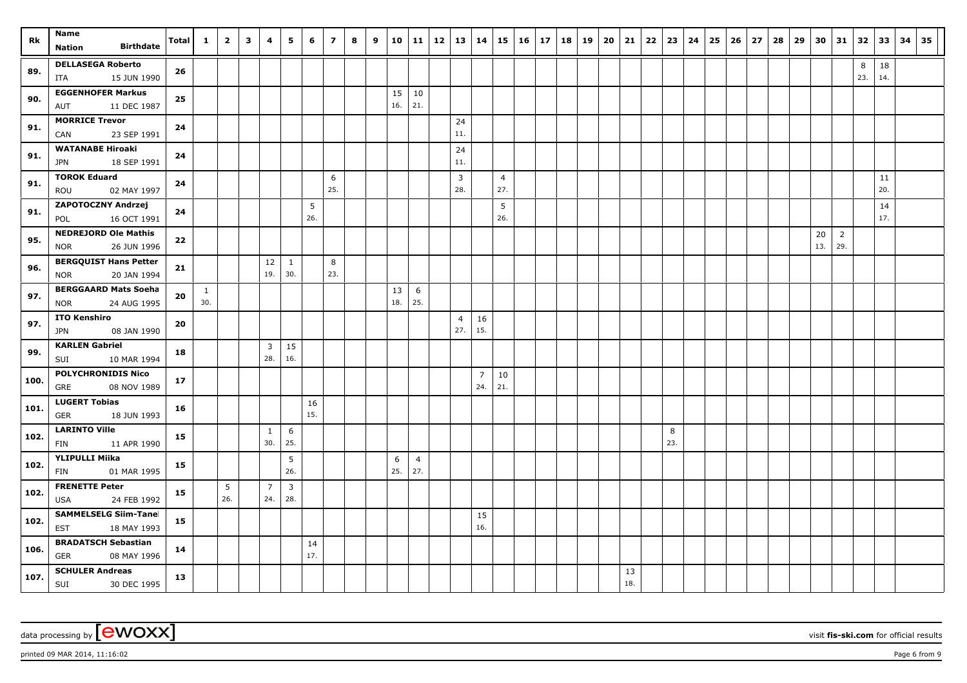|      | Name                                                      |       |              |                | $\overline{\mathbf{3}}$ |                       |                                |           | $\overline{ }$ |   |   |           |                       |    |                       |                       |                       |           |            |    |    |    |           |    |          |    | 25 |    |    |    | 29 |           | 31                    |          |           |    | 35 |
|------|-----------------------------------------------------------|-------|--------------|----------------|-------------------------|-----------------------|--------------------------------|-----------|----------------|---|---|-----------|-----------------------|----|-----------------------|-----------------------|-----------------------|-----------|------------|----|----|----|-----------|----|----------|----|----|----|----|----|----|-----------|-----------------------|----------|-----------|----|----|
| Rk   | <b>Birthdate</b><br><b>Nation</b>                         | Total | $\mathbf{1}$ | $\overline{2}$ |                         | 4                     | 5                              | 6         |                | 8 | 9 | 10        | 11                    | 12 | 13                    | 14                    | 15                    | <b>16</b> | $\vert$ 17 | 18 | 19 | 20 | 21        | 22 | 23       | 24 |    | 26 | 27 | 28 |    | 30        |                       | 32       | 33        | 34 |    |
| 89.  | <b>DELLASEGA Roberto</b><br>15 JUN 1990<br>ITA            | 26    |              |                |                         |                       |                                |           |                |   |   |           |                       |    |                       |                       |                       |           |            |    |    |    |           |    |          |    |    |    |    |    |    |           |                       | 8<br>23. | 18<br>14. |    |    |
| 90.  | <b>EGGENHOFER Markus</b><br>11 DEC 1987<br>AUT            | 25    |              |                |                         |                       |                                |           |                |   |   | 15<br>16. | 10<br>21.             |    |                       |                       |                       |           |            |    |    |    |           |    |          |    |    |    |    |    |    |           |                       |          |           |    |    |
| 91.  | <b>MORRICE Trevor</b><br>CAN<br>23 SEP 1991               | 24    |              |                |                         |                       |                                |           |                |   |   |           |                       |    | 24<br>11.             |                       |                       |           |            |    |    |    |           |    |          |    |    |    |    |    |    |           |                       |          |           |    |    |
| 91.  | <b>WATANABE Hiroaki</b><br>18 SEP 1991<br><b>JPN</b>      | 24    |              |                |                         |                       |                                |           |                |   |   |           |                       |    | 24<br>11.             |                       |                       |           |            |    |    |    |           |    |          |    |    |    |    |    |    |           |                       |          |           |    |    |
| 91.  | <b>TOROK Eduard</b><br>ROU<br>02 MAY 1997                 | 24    |              |                |                         |                       |                                |           | 6<br>25.       |   |   |           |                       |    | $\overline{3}$<br>28. |                       | $\overline{4}$<br>27. |           |            |    |    |    |           |    |          |    |    |    |    |    |    |           |                       |          | 11<br>20. |    |    |
| 91.  | ZAPOTOCZNY Andrzej<br>16 OCT 1991<br>POL                  | 24    |              |                |                         |                       |                                | 5<br>26.  |                |   |   |           |                       |    |                       |                       | 5<br>26.              |           |            |    |    |    |           |    |          |    |    |    |    |    |    |           |                       |          | 14<br>17. |    |    |
| 95.  | <b>NEDREJORD Ole Mathis</b><br>26 JUN 1996<br><b>NOR</b>  | 22    |              |                |                         |                       |                                |           |                |   |   |           |                       |    |                       |                       |                       |           |            |    |    |    |           |    |          |    |    |    |    |    |    | 20<br>13. | $\overline{2}$<br>29. |          |           |    |    |
| 96.  | <b>BERGQUIST Hans Petter</b><br>20 JAN 1994<br><b>NOR</b> | 21    |              |                |                         | 12<br>19.             | 1<br>30.                       |           | 8<br>23.       |   |   |           |                       |    |                       |                       |                       |           |            |    |    |    |           |    |          |    |    |    |    |    |    |           |                       |          |           |    |    |
| 97.  | <b>BERGGAARD Mats Soeha</b><br><b>NOR</b><br>24 AUG 1995  | 20    | 1<br>30.     |                |                         |                       |                                |           |                |   |   | 13<br>18. | 6<br>25.              |    |                       |                       |                       |           |            |    |    |    |           |    |          |    |    |    |    |    |    |           |                       |          |           |    |    |
| 97.  | <b>ITO Kenshiro</b><br>08 JAN 1990<br><b>JPN</b>          | 20    |              |                |                         |                       |                                |           |                |   |   |           |                       |    | 4<br>27.              | 16<br>15.             |                       |           |            |    |    |    |           |    |          |    |    |    |    |    |    |           |                       |          |           |    |    |
| 99.  | <b>KARLEN Gabriel</b><br>SUI<br>10 MAR 1994               | 18    |              |                |                         | 3<br>28.              | 15<br>16.                      |           |                |   |   |           |                       |    |                       |                       |                       |           |            |    |    |    |           |    |          |    |    |    |    |    |    |           |                       |          |           |    |    |
| 100. | <b>POLYCHRONIDIS Nico</b><br>GRE<br>08 NOV 1989           | 17    |              |                |                         |                       |                                |           |                |   |   |           |                       |    |                       | $\overline{7}$<br>24. | 10<br>21.             |           |            |    |    |    |           |    |          |    |    |    |    |    |    |           |                       |          |           |    |    |
| 101. | <b>LUGERT Tobias</b><br><b>GER</b><br>18 JUN 1993         | 16    |              |                |                         |                       |                                | 16<br>15. |                |   |   |           |                       |    |                       |                       |                       |           |            |    |    |    |           |    |          |    |    |    |    |    |    |           |                       |          |           |    |    |
| 102. | <b>LARINTO Ville</b><br>FIN<br>11 APR 1990                | 15    |              |                |                         | $\mathbf{1}$<br>30.   | 6<br>25.                       |           |                |   |   |           |                       |    |                       |                       |                       |           |            |    |    |    |           |    | 8<br>23. |    |    |    |    |    |    |           |                       |          |           |    |    |
| 102. | <b>YLIPULLI Miika</b><br>01 MAR 1995<br>FIN               | 15    |              |                |                         |                       | 5<br>26.                       |           |                |   |   | 6<br>25.  | $\overline{4}$<br>27. |    |                       |                       |                       |           |            |    |    |    |           |    |          |    |    |    |    |    |    |           |                       |          |           |    |    |
| 102. | <b>FRENETTE Peter</b><br>USA<br>24 FEB 1992               | 15    |              | 5<br>26.       |                         | $\overline{7}$<br>24. | $\overline{\mathbf{3}}$<br>28. |           |                |   |   |           |                       |    |                       |                       |                       |           |            |    |    |    |           |    |          |    |    |    |    |    |    |           |                       |          |           |    |    |
| 102. | <b>SAMMELSELG Siim-Tanel</b><br><b>EST</b><br>18 MAY 1993 | 15    |              |                |                         |                       |                                |           |                |   |   |           |                       |    |                       | 15<br>16.             |                       |           |            |    |    |    |           |    |          |    |    |    |    |    |    |           |                       |          |           |    |    |
| 106. | <b>BRADATSCH Sebastian</b><br><b>GER</b><br>08 MAY 1996   | 14    |              |                |                         |                       |                                | 14<br>17. |                |   |   |           |                       |    |                       |                       |                       |           |            |    |    |    |           |    |          |    |    |    |    |    |    |           |                       |          |           |    |    |
| 107. | <b>SCHULER Andreas</b><br>SUI<br>30 DEC 1995              | 13    |              |                |                         |                       |                                |           |                |   |   |           |                       |    |                       |                       |                       |           |            |    |    |    | 13<br>18. |    |          |    |    |    |    |    |    |           |                       |          |           |    |    |

 $p$ rinted 09 MAR 2014, 11:16:02  $p$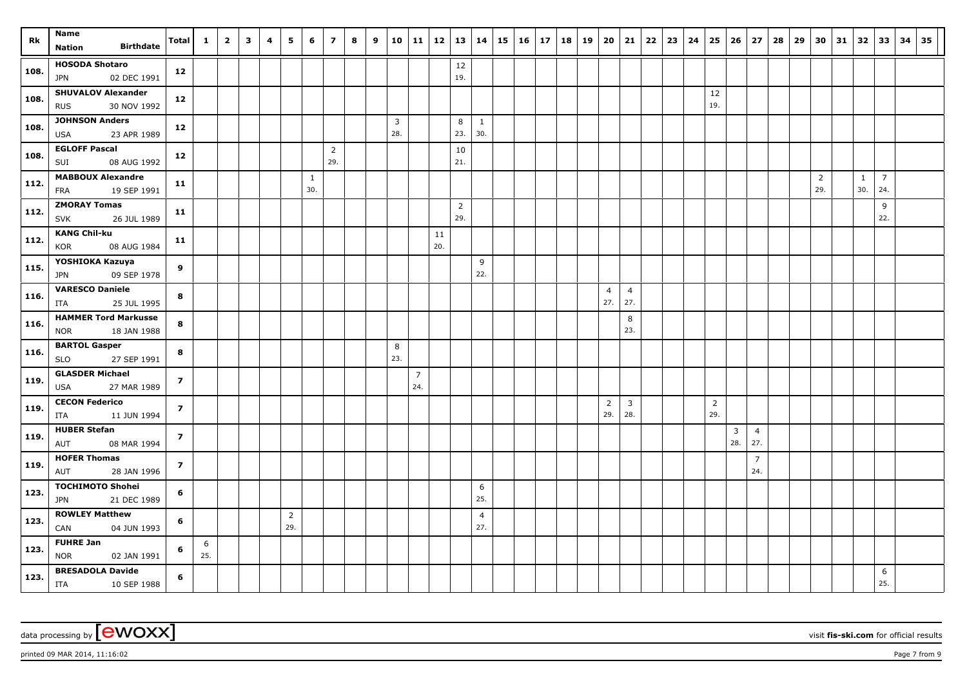|      | Name                                                      |                         |              |                |                         |   |                       |                     |                       |   |   |          |              |           |                       |                       |    |    |    |    |    |                       |                       |    |    |    |                       |                       |                       |    |    |          |    |          |                       |    |    |
|------|-----------------------------------------------------------|-------------------------|--------------|----------------|-------------------------|---|-----------------------|---------------------|-----------------------|---|---|----------|--------------|-----------|-----------------------|-----------------------|----|----|----|----|----|-----------------------|-----------------------|----|----|----|-----------------------|-----------------------|-----------------------|----|----|----------|----|----------|-----------------------|----|----|
| Rk   | <b>Birthdate</b><br><b>Nation</b>                         | Total                   | $\mathbf{1}$ | $\overline{2}$ | $\overline{\mathbf{3}}$ | 4 | 5                     | 6                   | $\overline{z}$        | 8 | 9 | 10       | $11 \mid 12$ |           | 13                    | 14                    | 15 | 16 | 17 | 18 | 19 | 20                    | 21                    | 22 | 23 | 24 | 25                    | 26                    | 27                    | 28 | 29 | 30       | 31 | 32       | 33                    | 34 | 35 |
| 108. | <b>HOSODA Shotaro</b><br>JPN<br>02 DEC 1991               | 12                      |              |                |                         |   |                       |                     |                       |   |   |          |              |           | 12<br>19.             |                       |    |    |    |    |    |                       |                       |    |    |    |                       |                       |                       |    |    |          |    |          |                       |    |    |
| 108. | <b>SHUVALOV Alexander</b><br>30 NOV 1992<br><b>RUS</b>    | 12                      |              |                |                         |   |                       |                     |                       |   |   |          |              |           |                       |                       |    |    |    |    |    |                       |                       |    |    |    | 12<br>19.             |                       |                       |    |    |          |    |          |                       |    |    |
| 108. | <b>JOHNSON Anders</b><br><b>USA</b><br>23 APR 1989        | 12                      |              |                |                         |   |                       |                     |                       |   |   | 3<br>28. |              |           | 8<br>23.              | $\mathbf{1}$<br>30.   |    |    |    |    |    |                       |                       |    |    |    |                       |                       |                       |    |    |          |    |          |                       |    |    |
| 108. | <b>EGLOFF Pascal</b><br>08 AUG 1992<br>SUI                | 12                      |              |                |                         |   |                       |                     | $\overline{2}$<br>29. |   |   |          |              |           | 10<br>21.             |                       |    |    |    |    |    |                       |                       |    |    |    |                       |                       |                       |    |    |          |    |          |                       |    |    |
| 112. | <b>MABBOUX Alexandre</b><br>19 SEP 1991<br><b>FRA</b>     | 11                      |              |                |                         |   |                       | $\mathbf{1}$<br>30. |                       |   |   |          |              |           |                       |                       |    |    |    |    |    |                       |                       |    |    |    |                       |                       |                       |    |    | 2<br>29. |    | 1<br>30. | $\overline{7}$<br>24. |    |    |
| 112. | <b>ZMORAY Tomas</b><br><b>SVK</b><br>26 JUL 1989          | 11                      |              |                |                         |   |                       |                     |                       |   |   |          |              |           | $\overline{2}$<br>29. |                       |    |    |    |    |    |                       |                       |    |    |    |                       |                       |                       |    |    |          |    |          | 9<br>22.              |    |    |
| 112. | <b>KANG Chil-ku</b><br><b>KOR</b><br>08 AUG 1984          | 11                      |              |                |                         |   |                       |                     |                       |   |   |          |              | 11<br>20. |                       |                       |    |    |    |    |    |                       |                       |    |    |    |                       |                       |                       |    |    |          |    |          |                       |    |    |
| 115. | YOSHIOKA Kazuya<br>09 SEP 1978<br>JPN                     | 9                       |              |                |                         |   |                       |                     |                       |   |   |          |              |           |                       | 9<br>22.              |    |    |    |    |    |                       |                       |    |    |    |                       |                       |                       |    |    |          |    |          |                       |    |    |
| 116. | <b>VARESCO Daniele</b><br>25 JUL 1995<br>ITA              | 8                       |              |                |                         |   |                       |                     |                       |   |   |          |              |           |                       |                       |    |    |    |    |    | $\overline{4}$<br>27. | $\overline{4}$<br>27. |    |    |    |                       |                       |                       |    |    |          |    |          |                       |    |    |
| 116. | <b>HAMMER Tord Markusser</b><br>18 JAN 1988<br><b>NOR</b> | 8                       |              |                |                         |   |                       |                     |                       |   |   |          |              |           |                       |                       |    |    |    |    |    |                       | 8<br>23.              |    |    |    |                       |                       |                       |    |    |          |    |          |                       |    |    |
| 116. | <b>BARTOL Gasper</b><br>27 SEP 1991<br><b>SLO</b>         | 8                       |              |                |                         |   |                       |                     |                       |   |   | 8<br>23. |              |           |                       |                       |    |    |    |    |    |                       |                       |    |    |    |                       |                       |                       |    |    |          |    |          |                       |    |    |
| 119. | <b>GLASDER Michael</b><br>USA<br>27 MAR 1989              | $\overline{z}$          |              |                |                         |   |                       |                     |                       |   |   |          | 7<br>24.     |           |                       |                       |    |    |    |    |    |                       |                       |    |    |    |                       |                       |                       |    |    |          |    |          |                       |    |    |
| 119. | <b>CECON Federico</b><br>11 JUN 1994<br>ITA               | $\overline{\mathbf{z}}$ |              |                |                         |   |                       |                     |                       |   |   |          |              |           |                       |                       |    |    |    |    |    | $\overline{2}$<br>29. | $\overline{3}$<br>28. |    |    |    | $\overline{2}$<br>29. |                       |                       |    |    |          |    |          |                       |    |    |
| 119. | <b>HUBER Stefan</b><br>08 MAR 1994<br>AUT                 | $\overline{z}$          |              |                |                         |   |                       |                     |                       |   |   |          |              |           |                       |                       |    |    |    |    |    |                       |                       |    |    |    |                       | $\overline{3}$<br>28. | $\overline{4}$<br>27. |    |    |          |    |          |                       |    |    |
| 119. | <b>HOFER Thomas</b><br>AUT<br>28 JAN 1996                 | $\overline{\mathbf{z}}$ |              |                |                         |   |                       |                     |                       |   |   |          |              |           |                       |                       |    |    |    |    |    |                       |                       |    |    |    |                       |                       | $\overline{7}$<br>24. |    |    |          |    |          |                       |    |    |
| 123. | <b>TOCHIMOTO Shohei</b><br>21 DEC 1989<br>JPN             | 6                       |              |                |                         |   |                       |                     |                       |   |   |          |              |           |                       | 6<br>25.              |    |    |    |    |    |                       |                       |    |    |    |                       |                       |                       |    |    |          |    |          |                       |    |    |
| 123. | <b>ROWLEY Matthew</b><br>CAN<br>04 JUN 1993               | 6                       |              |                |                         |   | $\overline{2}$<br>29. |                     |                       |   |   |          |              |           |                       | $\overline{4}$<br>27. |    |    |    |    |    |                       |                       |    |    |    |                       |                       |                       |    |    |          |    |          |                       |    |    |
| 123. | <b>FUHRE Jan</b><br><b>NOR</b><br>02 JAN 1991             | 6                       | 6<br>25.     |                |                         |   |                       |                     |                       |   |   |          |              |           |                       |                       |    |    |    |    |    |                       |                       |    |    |    |                       |                       |                       |    |    |          |    |          |                       |    |    |
| 123. | <b>BRESADOLA Davide</b><br>ITA<br>10 SEP 1988             | 6                       |              |                |                         |   |                       |                     |                       |   |   |          |              |           |                       |                       |    |    |    |    |    |                       |                       |    |    |    |                       |                       |                       |    |    |          |    |          | 6<br>25.              |    |    |

data processing by **CWOXX** wisit **fis-ski.com** for official results

 $p$ rinted 09 MAR 2014, 11:16:02  $p = 7$  from 9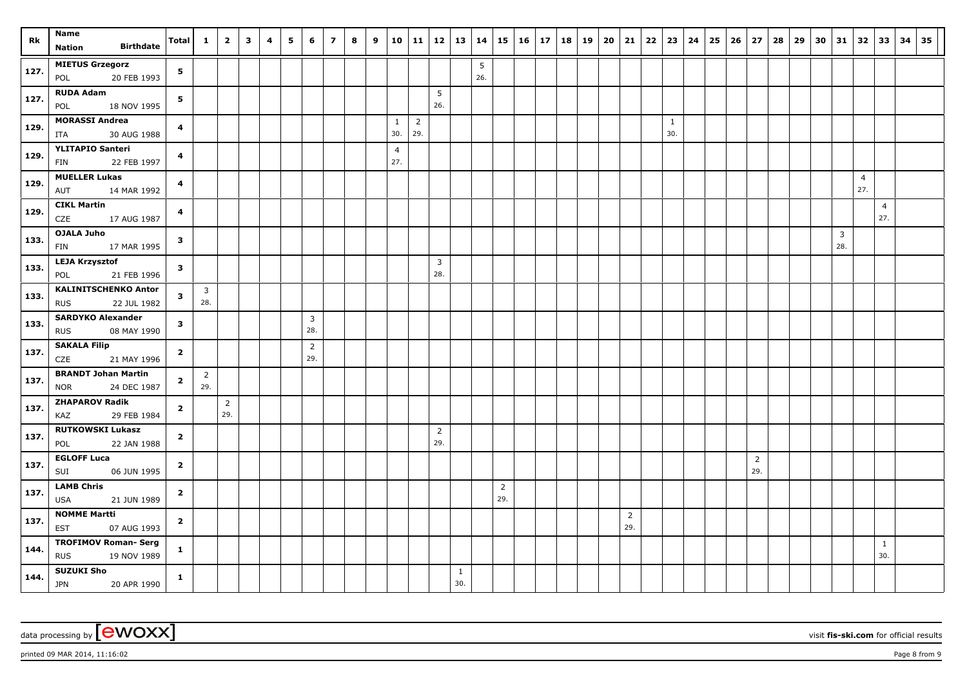| Rk   | Name                                                     | Total                   | $\mathbf{1}$                   | $\overline{2}$ | $\overline{\mathbf{3}}$ | 4 | 5 | 6                     | $\overline{7}$ | 8 | 9 | 10                    | 11                    | $12 \mid 13$                   |                     | 14       |                       | 15 16 | 17 | $18$ 19 | $20 \mid 21$ |                       | 22 | 23                  | 24 | 25 | 26 | 27                    | 28 | 29 | 30 | 31       | 32 33                 |                       | 34 | 35 |
|------|----------------------------------------------------------|-------------------------|--------------------------------|----------------|-------------------------|---|---|-----------------------|----------------|---|---|-----------------------|-----------------------|--------------------------------|---------------------|----------|-----------------------|-------|----|---------|--------------|-----------------------|----|---------------------|----|----|----|-----------------------|----|----|----|----------|-----------------------|-----------------------|----|----|
|      | <b>Birthdate</b><br><b>Nation</b>                        |                         |                                |                |                         |   |   |                       |                |   |   |                       |                       |                                |                     |          |                       |       |    |         |              |                       |    |                     |    |    |    |                       |    |    |    |          |                       |                       |    |    |
| 127. | <b>MIETUS Grzegorz</b><br>20 FEB 1993<br>POL             | 5                       |                                |                |                         |   |   |                       |                |   |   |                       |                       |                                |                     | 5<br>26. |                       |       |    |         |              |                       |    |                     |    |    |    |                       |    |    |    |          |                       |                       |    |    |
| 127. | <b>RUDA Adam</b><br>18 NOV 1995<br>POL                   | 5                       |                                |                |                         |   |   |                       |                |   |   |                       |                       | 5<br>26.                       |                     |          |                       |       |    |         |              |                       |    |                     |    |    |    |                       |    |    |    |          |                       |                       |    |    |
| 129. | <b>MORASSI Andrea</b><br>30 AUG 1988<br>ITA              | $\overline{\mathbf{4}}$ |                                |                |                         |   |   |                       |                |   |   | $\mathbf{1}$<br>30.   | $\overline{2}$<br>29. |                                |                     |          |                       |       |    |         |              |                       |    | $\mathbf{1}$<br>30. |    |    |    |                       |    |    |    |          |                       |                       |    |    |
| 129. | <b>YLITAPIO Santeri</b><br>22 FEB 1997<br>FIN            | 4                       |                                |                |                         |   |   |                       |                |   |   | $\overline{4}$<br>27. |                       |                                |                     |          |                       |       |    |         |              |                       |    |                     |    |    |    |                       |    |    |    |          |                       |                       |    |    |
| 129. | <b>MUELLER Lukas</b><br>AUT<br>14 MAR 1992               | 4                       |                                |                |                         |   |   |                       |                |   |   |                       |                       |                                |                     |          |                       |       |    |         |              |                       |    |                     |    |    |    |                       |    |    |    |          | $\overline{4}$<br>27. |                       |    |    |
| 129. | <b>CIKL Martin</b><br>17 AUG 1987<br>CZE                 | $\overline{\mathbf{4}}$ |                                |                |                         |   |   |                       |                |   |   |                       |                       |                                |                     |          |                       |       |    |         |              |                       |    |                     |    |    |    |                       |    |    |    |          |                       | $\overline{4}$<br>27. |    |    |
| 133. | <b>OJALA Juho</b><br>17 MAR 1995<br><b>FIN</b>           | $\overline{\mathbf{3}}$ |                                |                |                         |   |   |                       |                |   |   |                       |                       |                                |                     |          |                       |       |    |         |              |                       |    |                     |    |    |    |                       |    |    |    | 3<br>28. |                       |                       |    |    |
| 133. | <b>LEJA Krzysztof</b><br>21 FEB 1996<br>POL              | $\mathbf{3}$            |                                |                |                         |   |   |                       |                |   |   |                       |                       | $\overline{\mathbf{3}}$<br>28. |                     |          |                       |       |    |         |              |                       |    |                     |    |    |    |                       |    |    |    |          |                       |                       |    |    |
| 133. | <b>KALINITSCHENKO Anton</b><br><b>RUS</b><br>22 JUL 1982 | $\mathbf{3}$            | $\overline{\mathbf{3}}$<br>28. |                |                         |   |   |                       |                |   |   |                       |                       |                                |                     |          |                       |       |    |         |              |                       |    |                     |    |    |    |                       |    |    |    |          |                       |                       |    |    |
| 133. | <b>SARDYKO Alexander</b><br><b>RUS</b><br>08 MAY 1990    | $\mathbf{3}$            |                                |                |                         |   |   | $\overline{3}$<br>28. |                |   |   |                       |                       |                                |                     |          |                       |       |    |         |              |                       |    |                     |    |    |    |                       |    |    |    |          |                       |                       |    |    |
| 137. | <b>SAKALA Filip</b><br>CZE<br>21 MAY 1996                | $\overline{2}$          |                                |                |                         |   |   | $\overline{2}$<br>29. |                |   |   |                       |                       |                                |                     |          |                       |       |    |         |              |                       |    |                     |    |    |    |                       |    |    |    |          |                       |                       |    |    |
| 137. | <b>BRANDT Johan Martin</b><br><b>NOR</b><br>24 DEC 1987  | $\overline{2}$          | $\overline{2}$<br>29.          |                |                         |   |   |                       |                |   |   |                       |                       |                                |                     |          |                       |       |    |         |              |                       |    |                     |    |    |    |                       |    |    |    |          |                       |                       |    |    |
| 137. | <b>ZHAPAROV Radik</b><br>29 FEB 1984<br>KAZ              | $\overline{2}$          |                                | 2<br>29.       |                         |   |   |                       |                |   |   |                       |                       |                                |                     |          |                       |       |    |         |              |                       |    |                     |    |    |    |                       |    |    |    |          |                       |                       |    |    |
| 137. | <b>RUTKOWSKI Lukasz</b><br>22 JAN 1988<br>POL            | $\overline{2}$          |                                |                |                         |   |   |                       |                |   |   |                       |                       | $\overline{2}$<br>29.          |                     |          |                       |       |    |         |              |                       |    |                     |    |    |    |                       |    |    |    |          |                       |                       |    |    |
| 137. | <b>EGLOFF Luca</b><br>06 JUN 1995<br>SUI                 | $\overline{\mathbf{2}}$ |                                |                |                         |   |   |                       |                |   |   |                       |                       |                                |                     |          |                       |       |    |         |              |                       |    |                     |    |    |    | $\overline{2}$<br>29. |    |    |    |          |                       |                       |    |    |
| 137. | <b>LAMB Chris</b><br>USA<br>21 JUN 1989                  | $\overline{2}$          |                                |                |                         |   |   |                       |                |   |   |                       |                       |                                |                     |          | $\overline{2}$<br>29. |       |    |         |              |                       |    |                     |    |    |    |                       |    |    |    |          |                       |                       |    |    |
| 137. | <b>NOMME Martti</b><br>07 AUG 1993<br>EST                | $\overline{2}$          |                                |                |                         |   |   |                       |                |   |   |                       |                       |                                |                     |          |                       |       |    |         |              | $\overline{2}$<br>29. |    |                     |    |    |    |                       |    |    |    |          |                       |                       |    |    |
| 144. | <b>TROFIMOV Roman- Serg</b><br><b>RUS</b><br>19 NOV 1989 | $\mathbf{1}$            |                                |                |                         |   |   |                       |                |   |   |                       |                       |                                |                     |          |                       |       |    |         |              |                       |    |                     |    |    |    |                       |    |    |    |          |                       | $\mathbf{1}$<br>30.   |    |    |
| 144. | <b>SUZUKI Sho</b><br><b>JPN</b><br>20 APR 1990           | $\mathbf{1}$            |                                |                |                         |   |   |                       |                |   |   |                       |                       |                                | $\mathbf{1}$<br>30. |          |                       |       |    |         |              |                       |    |                     |    |    |    |                       |    |    |    |          |                       |                       |    |    |

 $p$ rinted 09 MAR 2014, 11:16:02  $p = 8$  from 9